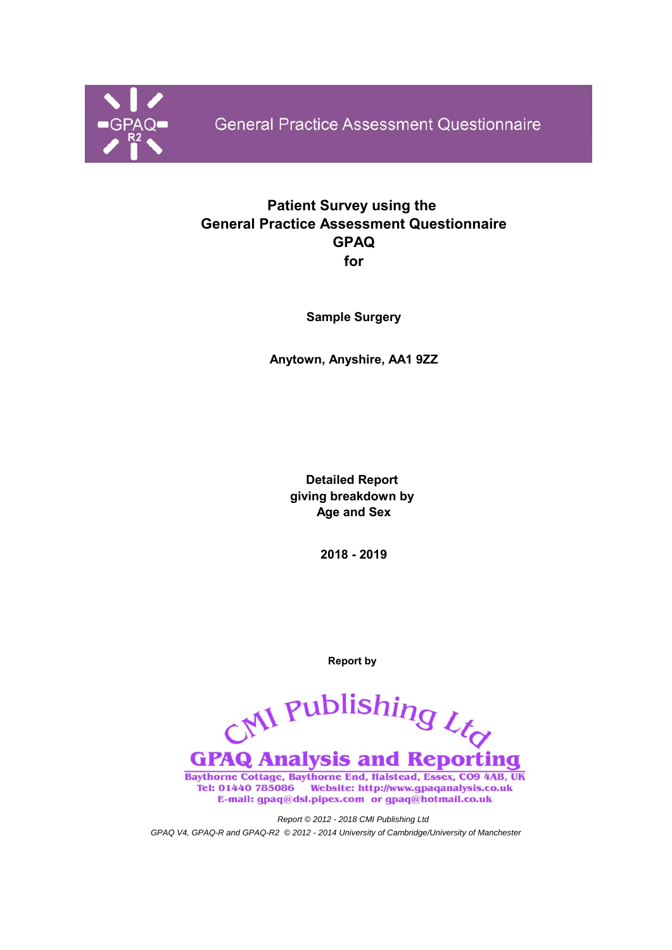

**General Practice Assessment Questionnaire** 

# **Patient Survey using the General Practice Assessment Questionnaire GPAQ for**

**Sample Surgery**

**Anytown, Anyshire, AA1 9ZZ**

**Detailed Report giving breakdown by Age and Sex**

**2018 - 2019**

**Report by** 

CNI Publishing Ltd **GPAQ Analysis and Reporting** Baythorne Cottage, Baythorne End, Halstead, Essex, CO9 4AB, UK

Tel: 01440 785086 Website: http://www.gpaqanalysis.co.uk E-mail: gpaq@dsl.pipex.com or gpaq@hotmail.co.uk

*Report © 2012 - 2018 CMI Publishing Ltd GPAQ V4, GPAQ-R and GPAQ-R2 © 2012 - 2014 University of Cambridge/University of Manchester*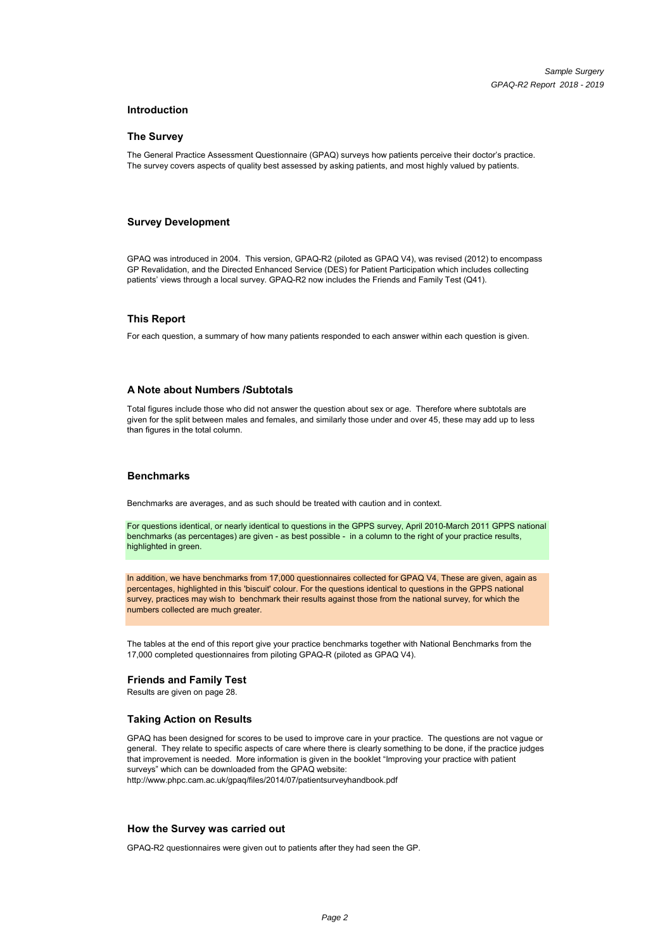#### **Introduction**

#### **The Survey**

The General Practice Assessment Questionnaire (GPAQ) surveys how patients perceive their doctor's practice. The survey covers aspects of quality best assessed by asking patients, and most highly valued by patients.

#### **Survey Development**

GPAQ was introduced in 2004. This version, GPAQ-R2 (piloted as GPAQ V4), was revised (2012) to encompass GP Revalidation, and the Directed Enhanced Service (DES) for Patient Participation which includes collecting patients' views through a local survey. GPAQ-R2 now includes the Friends and Family Test (Q41).

#### **This Report**

For each question, a summary of how many patients responded to each answer within each question is given.

#### **A Note about Numbers /Subtotals**

Total figures include those who did not answer the question about sex or age. Therefore where subtotals are given for the split between males and females, and similarly those under and over 45, these may add up to less than figures in the total column than figures in the total column.

#### **Benchmarks**

Benchmarks are averages, and as such should be treated with caution and in context.

For questions identical, or nearly identical to questions in the GPPS survey, April 2010-March 2011 GPPS national benchmarks (as percentages) are given - as best possible - in a column to the right of your practice results, highlighted in green.

In addition, we have benchmarks from 17,000 questionnaires collected for GPAQ V4, These are given, again as percentages, highlighted in this 'biscuit' colour. For the questions identical to questions in the GPPS national survey, practices may wish to benchmark their results against those from the national survey, for which the numbers collected are much greater.

The tables at the end of this report give your practice benchmarks together with National Benchmarks from the 17,000 completed questionnaires from piloting GPAQ-R (piloted as GPAQ V4).

#### **Friends and Family Test**

Results are given on page 28.

#### **Taking Action on Results**

GPAQ has been designed for scores to be used to improve care in your practice. The questions are not vague or general. They relate to specific aspects of care where there is clearly something to be done, if the practice judges that improvement is needed. More information is given in the booklet "Improving your practice with patient surveys" which can be downloaded from the GPAQ website: http://www.phpc.cam.ac.uk/gpaq/files/2014/07/patientsurveyhandbook.pdf

#### **How the Survey was carried out**

GPAQ-R2 questionnaires were given out to patients after they had seen the GP.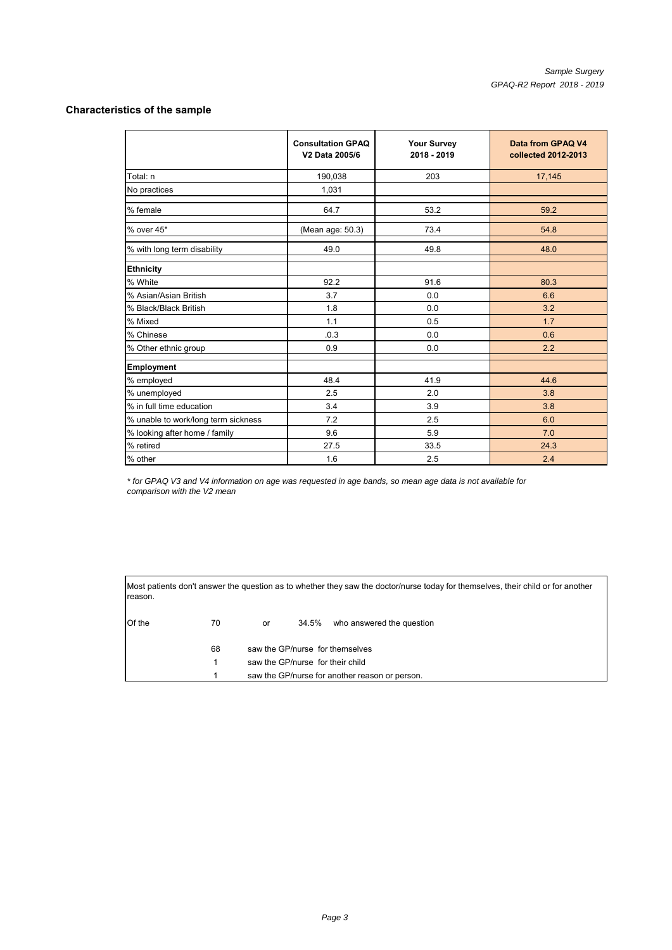#### **Characteristics of the sample**

|                                     | <b>Consultation GPAQ</b><br>V2 Data 2005/6 | <b>Your Survey</b><br>2018 - 2019 | Data from GPAQ V4<br>collected 2012-2013 |
|-------------------------------------|--------------------------------------------|-----------------------------------|------------------------------------------|
| Total: n                            | 190,038                                    | 203                               | 17,145                                   |
| No practices                        | 1,031                                      |                                   |                                          |
| % female                            | 64.7                                       | 53.2                              | 59.2                                     |
| % over 45*                          | (Mean age: 50.3)                           | 73.4                              | 54.8                                     |
| % with long term disability         | 49.0                                       | 49.8                              | 48.0                                     |
| <b>Ethnicity</b>                    |                                            |                                   |                                          |
| % White                             | 92.2                                       | 91.6                              | 80.3                                     |
| % Asian/Asian British               | 3.7                                        | 0.0                               | 6.6                                      |
| % Black/Black British               | 1.8                                        | 0.0                               | 3.2                                      |
| % Mixed                             | 1.1                                        | 0.5                               | 1.7                                      |
| % Chinese                           | .0.3                                       | 0.0                               | 0.6                                      |
| % Other ethnic group                | 0.9                                        | 0.0                               | 2.2                                      |
| Employment                          |                                            |                                   |                                          |
| % employed                          | 48.4                                       | 41.9                              | 44.6                                     |
| % unemployed                        | 2.5                                        | 2.0                               | 3.8                                      |
| % in full time education            | 3.4                                        | 3.9                               | 3.8                                      |
| % unable to work/long term sickness | 7.2                                        | 2.5                               | 6.0                                      |
| % looking after home / family       | 9.6                                        | 5.9                               | 7.0                                      |
| % retired                           | 27.5                                       | 33.5                              | 24.3                                     |
| % other                             | 1.6                                        | 2.5                               | 2.4                                      |

*\* for GPAQ V3 and V4 information on age was requested in age bands, so mean age data is not available for comparison with the V2 mean*

Most patients don't answer the question as to whether they saw the doctor/nurse today for themselves, their child or for another reason.

| Of the | 70 | or                               |                                 | 34.5% who answered the question                |  |  |  |  |  |  |
|--------|----|----------------------------------|---------------------------------|------------------------------------------------|--|--|--|--|--|--|
|        | 68 |                                  | saw the GP/nurse for themselves |                                                |  |  |  |  |  |  |
|        |    | saw the GP/nurse for their child |                                 |                                                |  |  |  |  |  |  |
|        |    |                                  |                                 | saw the GP/nurse for another reason or person. |  |  |  |  |  |  |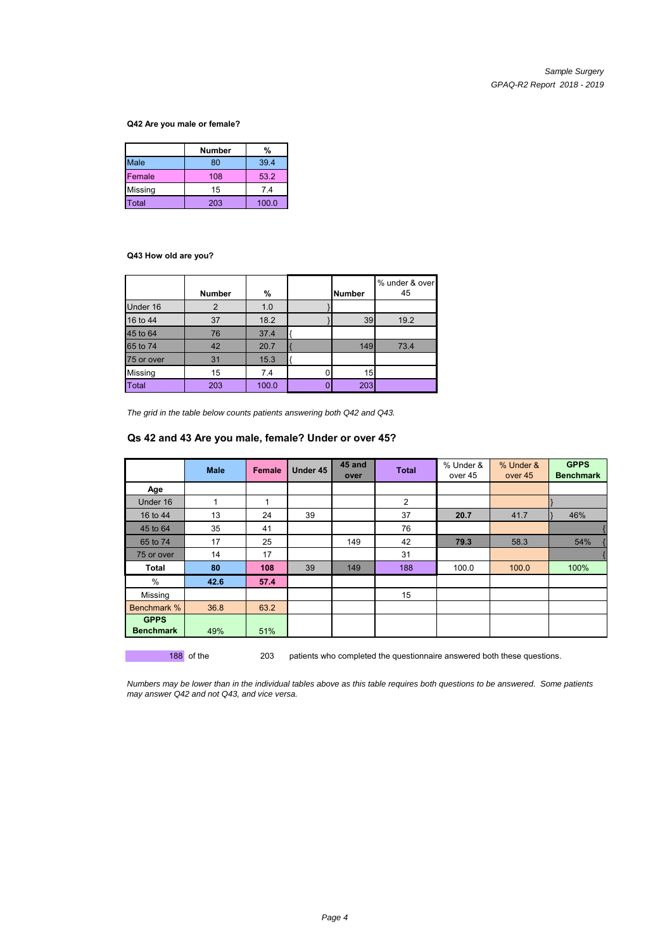#### **Q42 Are you male or female?**

|             | Number | %     |
|-------------|--------|-------|
| <b>Male</b> | 80     | 39.4  |
| Female      | 108    | 53.2  |
| Missing     | 15     | 7.4   |
| Total       | 203    | 100.0 |

#### **Q43 How old are you?**

|                | <b>Number</b> | %     | <b>Number</b> | % under & over<br>45 |
|----------------|---------------|-------|---------------|----------------------|
| Under 16       | 2             | 1.0   |               |                      |
| 16 to 44       | 37            | 18.2  | 39            | 19.2                 |
| 45 to 64       | 76            | 37.4  |               |                      |
| 65 to 74       | 42            | 20.7  | 149           | 73.4                 |
| 75 or over     | 31            | 15.3  |               |                      |
| <b>Missing</b> | 15            | 7.4   | 15            |                      |
| <b>Total</b>   | 203           | 100.0 | 203           |                      |

*The grid in the table below counts patients answering both Q42 and Q43.*

#### **Qs 42 and 43 Are you male, female? Under or over 45?**

|                                 | <b>Male</b> | <b>Female</b> | Under 45 | 45 and<br>over | <b>Total</b> | % Under &<br>over 45 | % Under &<br>over 45 | <b>GPPS</b><br><b>Benchmark</b> |
|---------------------------------|-------------|---------------|----------|----------------|--------------|----------------------|----------------------|---------------------------------|
| Age                             |             |               |          |                |              |                      |                      |                                 |
| Under 16                        | 1           | $\mathbf{1}$  |          |                | 2            |                      |                      |                                 |
| 16 to 44                        | 13          | 24            | 39       |                | 37           | 20.7                 | 41.7                 | 46%                             |
| 45 to 64                        | 35          | 41            |          |                | 76           |                      |                      |                                 |
| 65 to 74                        | 17          | 25            |          | 149            | 42           | 79.3                 | 58.3                 | 54%                             |
| 75 or over                      | 14          | 17            |          |                | 31           |                      |                      |                                 |
| Total                           | 80          | 108           | 39       | 149            | 188          | 100.0                | 100.0                | 100%                            |
| $\%$                            | 42.6        | 57.4          |          |                |              |                      |                      |                                 |
| Missing                         |             |               |          |                | 15           |                      |                      |                                 |
| Benchmark %                     | 36.8        | 63.2          |          |                |              |                      |                      |                                 |
| <b>GPPS</b><br><b>Benchmark</b> | 49%         | 51%           |          |                |              |                      |                      |                                 |

188 of the 203 patients who completed the questionnaire answered both these questions.

*Numbers may be lower than in the individual tables above as this table requires both questions to be answered. Some patients may answer Q42 and not Q43, and vice versa.*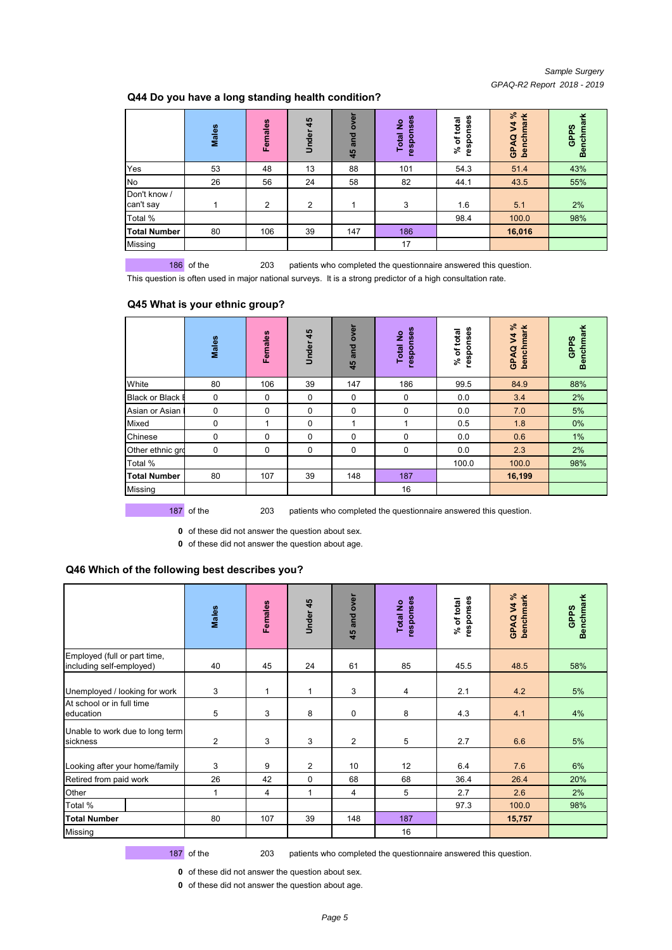#### *Sample Surgery GPAQ-R2 Report 2018 - 2019*

## **Q44 Do you have a long standing health condition?**

|                           | <b>Males</b> | Females | 45<br>Under | ğ<br>ō<br>and<br>45 | responses<br>$\frac{1}{2}$<br><b>Total</b> | nses<br>total<br>respor<br>$%$ of $\dagger$ | వి<br>mark<br>\$<br>benchr<br>ø<br>GPA | Benchmark<br>GPPS |
|---------------------------|--------------|---------|-------------|---------------------|--------------------------------------------|---------------------------------------------|----------------------------------------|-------------------|
| Yes                       | 53           | 48      | 13          | 88                  | 101                                        | 54.3                                        | 51.4                                   | 43%               |
| No                        | 26           | 56      | 24          | 58                  | 82                                         | 44.1                                        | 43.5                                   | 55%               |
| Don't know /<br>can't say |              | 2       | 2           |                     | 3                                          | 1.6                                         | 5.1                                    | 2%                |
| Total %                   |              |         |             |                     |                                            | 98.4                                        | 100.0                                  | 98%               |
| <b>Total Number</b>       | 80           | 106     | 39          | 147                 | 186                                        |                                             | 16,016                                 |                   |
| Missing                   |              |         |             |                     | 17                                         |                                             |                                        |                   |

186 of the 203 patients who completed the questionnaire answered this question.

This question is often used in major national surveys. It is a strong predictor of a high consultation rate.

#### **Q45 What is your ethnic group?**

|                         | Males | Females | 45<br>Under | over<br>and<br>45 | responses<br><b>Total No</b> | responses<br>total<br>$%$ of | V4%<br>benchmark<br>GPAQ | <b>Benchmark</b><br>GPPS |
|-------------------------|-------|---------|-------------|-------------------|------------------------------|------------------------------|--------------------------|--------------------------|
| White                   | 80    | 106     | 39          | 147               | 186                          | 99.5                         | 84.9                     | 88%                      |
| <b>Black or Black I</b> | 0     | 0       | 0           | 0                 | 0                            | 0.0                          | 3.4                      | 2%                       |
| Asian or Asian I        | 0     | 0       | $\mathbf 0$ | 0                 | $\Omega$                     | 0.0                          | 7.0                      | 5%                       |
| Mixed                   | 0     | 4       | $\mathbf 0$ | 1                 |                              | 0.5                          | 1.8                      | 0%                       |
| Chinese                 | 0     | 0       | 0           | 0                 | 0                            | 0.0                          | 0.6                      | 1%                       |
| Other ethnic gro        | 0     | 0       | $\mathbf 0$ | 0                 | $\Omega$                     | 0.0                          | 2.3                      | 2%                       |
| Total %                 |       |         |             |                   |                              | 100.0                        | 100.0                    | 98%                      |
| <b>Total Number</b>     | 80    | 107     | 39          | 148               | 187                          |                              | 16,199                   |                          |
| Missing                 |       |         |             |                   | 16                           |                              |                          |                          |

187 of the 203 patients who completed the questionnaire answered this question.

**0** of these did not answer the question about sex.

**0** of these did not answer the question about age.

#### **Q46 Which of the following best describes you?**

|                                                          | Males          | Females | Under 45     | 45 and over | responses<br>Total No | responses<br>% of total | GPAQ V4%<br>benchmark | <b>Benchmark</b><br>GPPS |
|----------------------------------------------------------|----------------|---------|--------------|-------------|-----------------------|-------------------------|-----------------------|--------------------------|
| Employed (full or part time,<br>including self-employed) | 40             | 45      | 24           | 61          | 85                    | 45.5                    | 48.5                  | 58%                      |
| Unemployed / looking for work                            | 3              | 1       | 1            | 3           | 4                     | 2.1                     | 4.2                   | 5%                       |
| At school or in full time<br>education                   | 5              | 3       | 8            | $\mathbf 0$ | 8                     | 4.3                     | 4.1                   | 4%                       |
| Unable to work due to long term<br>sickness              | $\overline{2}$ | 3       | 3            | 2           | 5                     | 2.7                     | 6.6                   | 5%                       |
| Looking after your home/family                           | 3              | 9       | 2            | 10          | 12                    | 6.4                     | 7.6                   | 6%                       |
| Retired from paid work                                   | 26             | 42      | 0            | 68          | 68                    | 36.4                    | 26.4                  | 20%                      |
| Other                                                    | $\mathbf{1}$   | 4       | $\mathbf{1}$ | 4           | 5                     | 2.7                     | 2.6                   | 2%                       |
| Total %                                                  |                |         |              |             |                       | 97.3                    | 100.0                 | 98%                      |
| <b>Total Number</b>                                      | 80             | 107     | 39           | 148         | 187                   |                         | 15,757                |                          |
| Missing                                                  |                |         |              |             | 16                    |                         |                       |                          |

187 of the 203 patients who completed the questionnaire answered this question.

**0** of these did not answer the question about sex.

**0** of these did not answer the question about age.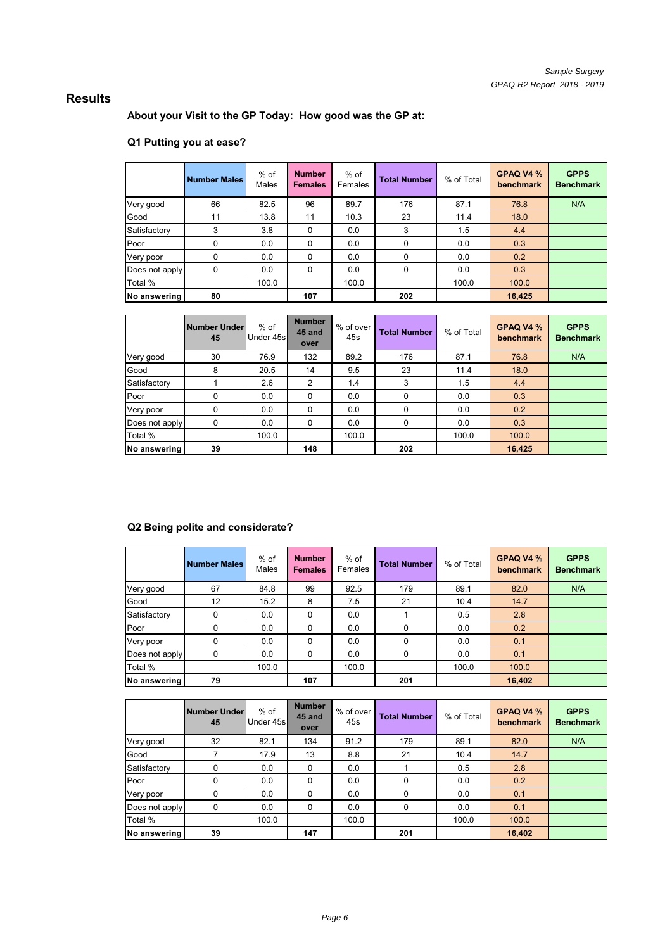# **Results**

**About your Visit to the GP Today: How good was the GP at:**

## **Q1 Putting you at ease?**

|                | <b>Number Males</b> | $%$ of<br>Males | <b>Number</b><br><b>Females</b> | $%$ of<br>Females | <b>Total Number</b> | % of Total | GPAQ V4 %<br>benchmark | <b>GPPS</b><br><b>Benchmark</b> |
|----------------|---------------------|-----------------|---------------------------------|-------------------|---------------------|------------|------------------------|---------------------------------|
| Very good      | 66                  | 82.5            | 96                              | 89.7              | 176                 | 87.1       | 76.8                   | N/A                             |
| Good           | 11                  | 13.8            | 11                              | 10.3              | 23                  | 11.4       | 18.0                   |                                 |
| Satisfactory   | 3                   | 3.8             | $\Omega$                        | 0.0               | 3                   | 1.5        | 4.4                    |                                 |
| Poor           | 0                   | 0.0             | $\Omega$                        | 0.0               | <sup>0</sup>        | 0.0        | 0.3                    |                                 |
| Very poor      | 0                   | 0.0             | $\Omega$                        | 0.0               | $\Omega$            | 0.0        | 0.2                    |                                 |
| Does not apply | 0                   | 0.0             | $\Omega$                        | 0.0               | $\Omega$            | 0.0        | 0.3                    |                                 |
| Total %        |                     | 100.0           |                                 | 100.0             |                     | 100.0      | 100.0                  |                                 |
| No answering   | 80                  |                 | 107                             |                   | 202                 |            | 16,425                 |                                 |

|                | Number Under<br>45 | $%$ of<br>Under 45s | <b>Number</b><br>45 and<br>over | % of over<br>45s | <b>Total Number</b> | % of Total | GPAQ V4 %<br>benchmark | <b>GPPS</b><br><b>Benchmark</b> |
|----------------|--------------------|---------------------|---------------------------------|------------------|---------------------|------------|------------------------|---------------------------------|
| Very good      | 30                 | 76.9                | 132                             | 89.2             | 176                 | 87.1       | 76.8                   | N/A                             |
| Good           | 8                  | 20.5                | 14                              | 9.5              | 23                  | 11.4       | 18.0                   |                                 |
| Satisfactory   |                    | 2.6                 | 2                               | 1.4              | 3                   | 1.5        | 4.4                    |                                 |
| Poor           |                    | 0.0                 | $\Omega$                        | 0.0              | 0                   | 0.0        | 0.3                    |                                 |
| Very poor      | 0                  | 0.0                 | $\Omega$                        | 0.0              | 0                   | 0.0        | 0.2                    |                                 |
| Does not apply | 0                  | 0.0                 | $\Omega$                        | 0.0              | 0                   | 0.0        | 0.3                    |                                 |
| Total %        |                    | 100.0               |                                 | 100.0            |                     | 100.0      | 100.0                  |                                 |
| No answering   | 39                 |                     | 148                             |                  | 202                 |            | 16,425                 |                                 |

## **Q2 Being polite and considerate?**

|                | Number Males | $%$ of<br><b>Males</b> | <b>Number</b><br><b>Females</b> | $%$ of<br>Females | <b>Total Number</b> | % of Total | GPAQ V4 %<br>benchmark | <b>GPPS</b><br><b>Benchmark</b> |
|----------------|--------------|------------------------|---------------------------------|-------------------|---------------------|------------|------------------------|---------------------------------|
| Very good      | 67           | 84.8                   | 99                              | 92.5              | 179                 | 89.1       | 82.0                   | N/A                             |
| Good           | 12           | 15.2                   | 8                               | 7.5               | 21                  | 10.4       | 14.7                   |                                 |
| Satisfactory   | $\Omega$     | 0.0                    | $\Omega$                        | 0.0               |                     | 0.5        | 2.8                    |                                 |
| Poor           | 0            | 0.0                    | $\Omega$                        | 0.0               | 0                   | 0.0        | 0.2                    |                                 |
| Very poor      | 0            | 0.0                    | $\Omega$                        | 0.0               | $\Omega$            | 0.0        | 0.1                    |                                 |
| Does not apply | 0            | 0.0                    | $\Omega$                        | 0.0               | 0                   | 0.0        | 0.1                    |                                 |
| Total %        |              | 100.0                  |                                 | 100.0             |                     | 100.0      | 100.0                  |                                 |
| No answering   | 79           |                        | 107                             |                   | 201                 |            | 16,402                 |                                 |

|                | <b>Number Under</b><br>45 | $%$ of<br>Under 45s | <b>Number</b><br>45 and<br>over | % of over<br>45s | <b>Total Number</b> | % of Total | GPAQ V4 %<br>benchmark | <b>GPPS</b><br><b>Benchmark</b> |
|----------------|---------------------------|---------------------|---------------------------------|------------------|---------------------|------------|------------------------|---------------------------------|
| Very good      | 32                        | 82.1                | 134                             | 91.2             | 179                 | 89.1       | 82.0                   | N/A                             |
| Good           |                           | 17.9                | 13                              | 8.8              | 21                  | 10.4       | 14.7                   |                                 |
| Satisfactory   | 0                         | 0.0                 | 0                               | 0.0              |                     | 0.5        | 2.8                    |                                 |
| Poor           | 0                         | 0.0                 | $\Omega$                        | 0.0              | 0                   | 0.0        | 0.2                    |                                 |
| Very poor      | 0                         | 0.0                 | $\Omega$                        | 0.0              | $\Omega$            | 0.0        | 0.1                    |                                 |
| Does not apply | 0                         | 0.0                 | $\Omega$                        | 0.0              | $\Omega$            | 0.0        | 0.1                    |                                 |
| Total %        |                           | 100.0               |                                 | 100.0            |                     | 100.0      | 100.0                  |                                 |
| No answering   | 39                        |                     | 147                             |                  | 201                 |            | 16,402                 |                                 |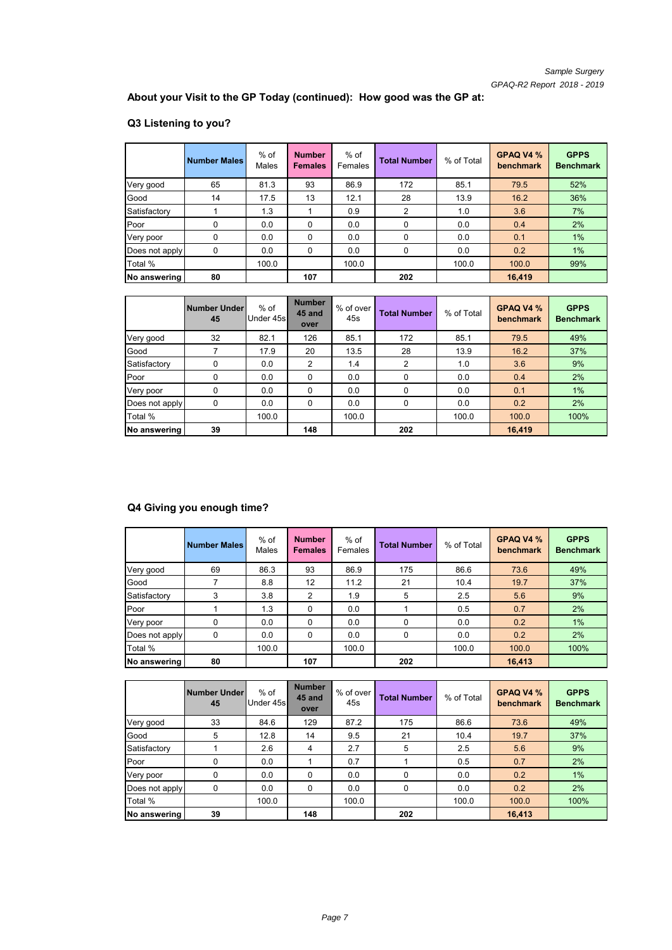**About your Visit to the GP Today (continued): How good was the GP at:**

# **Q3 Listening to you?**

|                     | <b>Number Males</b> | $%$ of<br>Males | <b>Number</b><br><b>Females</b> | % of<br>Females | <b>Total Number</b> | % of Total | GPAQ V4 %<br>benchmark | <b>GPPS</b><br><b>Benchmark</b> |
|---------------------|---------------------|-----------------|---------------------------------|-----------------|---------------------|------------|------------------------|---------------------------------|
| Very good           | 65                  | 81.3            | 93                              | 86.9            | 172                 | 85.1       | 79.5                   | 52%                             |
| Good                | 14                  | 17.5            | 13                              | 12.1            | 28                  | 13.9       | 16.2                   | 36%                             |
| Satisfactory        |                     | 1.3             |                                 | 0.9             | 2                   | 1.0        | 3.6                    | 7%                              |
| Poor                | 0                   | 0.0             | $\Omega$                        | 0.0             | 0                   | 0.0        | 0.4                    | 2%                              |
| Very poor           | 0                   | 0.0             | $\Omega$                        | 0.0             | 0                   | 0.0        | 0.1                    | 1%                              |
| Does not apply      | 0                   | 0.0             | 0                               | 0.0             | 0                   | 0.0        | 0.2                    | 1%                              |
| Total %             |                     | 100.0           |                                 | 100.0           |                     | 100.0      | 100.0                  | 99%                             |
| <b>No answering</b> | 80                  |                 | 107                             |                 | 202                 |            | 16,419                 |                                 |

|                | <b>Number Under</b><br>45 | $%$ of<br>Under 45s | <b>Number</b><br>45 and<br>over | % of over<br>45s | <b>Total Number</b> | % of Total | GPAQ V4 %<br>benchmark | <b>GPPS</b><br><b>Benchmark</b> |
|----------------|---------------------------|---------------------|---------------------------------|------------------|---------------------|------------|------------------------|---------------------------------|
| Very good      | 32                        | 82.1                | 126                             | 85.1             | 172                 | 85.1       | 79.5                   | 49%                             |
| Good           |                           | 17.9                | 20                              | 13.5             | 28                  | 13.9       | 16.2                   | 37%                             |
| Satisfactory   | 0                         | 0.0                 | 2                               | 1.4              | 2                   | 1.0        | 3.6                    | 9%                              |
| Poor           | 0                         | 0.0                 | $\Omega$                        | 0.0              | 0                   | 0.0        | 0.4                    | 2%                              |
| Very poor      | 0                         | 0.0                 | $\Omega$                        | 0.0              | 0                   | 0.0        | 0.1                    | 1%                              |
| Does not apply | 0                         | 0.0                 | 0                               | 0.0              | 0                   | 0.0        | 0.2                    | 2%                              |
| Total %        |                           | 100.0               |                                 | 100.0            |                     | 100.0      | 100.0                  | 100%                            |
| No answering   | 39                        |                     | 148                             |                  | 202                 |            | 16,419                 |                                 |

# **Q4 Giving you enough time?**

|                | <b>Number Males</b> | $%$ of<br>Males | <b>Number</b><br><b>Females</b> | $%$ of<br>Females | <b>Total Number</b> | % of Total | GPAQ V4 %<br>benchmark | <b>GPPS</b><br><b>Benchmark</b> |
|----------------|---------------------|-----------------|---------------------------------|-------------------|---------------------|------------|------------------------|---------------------------------|
| Very good      | 69                  | 86.3            | 93                              | 86.9              | 175                 | 86.6       | 73.6                   | 49%                             |
| Good           |                     | 8.8             | 12                              | 11.2              | 21                  | 10.4       | 19.7                   | 37%                             |
| Satisfactory   | 3                   | 3.8             | $\mathcal{P}$                   | 1.9               | 5                   | 2.5        | 5.6                    | 9%                              |
| Poor           |                     | 1.3             | $\Omega$                        | 0.0               |                     | 0.5        | 0.7                    | 2%                              |
| Very poor      | 0                   | 0.0             | $\Omega$                        | 0.0               | $\Omega$            | 0.0        | 0.2                    | 1%                              |
| Does not apply | 0                   | 0.0             | 0                               | 0.0               | 0                   | 0.0        | 0.2                    | 2%                              |
| Total %        |                     | 100.0           |                                 | 100.0             |                     | 100.0      | 100.0                  | 100%                            |
| No answering   | 80                  |                 | 107                             |                   | 202                 |            | 16,413                 |                                 |

|                | Number Under<br>45 | $%$ of<br>Under 45s | <b>Number</b><br>45 and<br>over | % of over<br>45s | <b>Total Number</b> | % of Total | GPAQ V4 %<br>benchmark | <b>GPPS</b><br><b>Benchmark</b> |
|----------------|--------------------|---------------------|---------------------------------|------------------|---------------------|------------|------------------------|---------------------------------|
| Very good      | 33                 | 84.6                | 129                             | 87.2             | 175                 | 86.6       | 73.6                   | 49%                             |
| Good           | 5                  | 12.8                | 14                              | 9.5              | 21                  | 10.4       | 19.7                   | 37%                             |
| Satisfactory   |                    | 2.6                 | 4                               | 2.7              | 5                   | 2.5        | 5.6                    | 9%                              |
| Poor           | 0                  | 0.0                 |                                 | 0.7              |                     | 0.5        | 0.7                    | 2%                              |
| Very poor      | 0                  | 0.0                 | $\Omega$                        | 0.0              | $\Omega$            | 0.0        | 0.2                    | 1%                              |
| Does not apply | 0                  | 0.0                 | $\Omega$                        | 0.0              | $\Omega$            | 0.0        | 0.2                    | 2%                              |
| Total %        |                    | 100.0               |                                 | 100.0            |                     | 100.0      | 100.0                  | 100%                            |
| No answering   | 39                 |                     | 148                             |                  | 202                 |            | 16,413                 |                                 |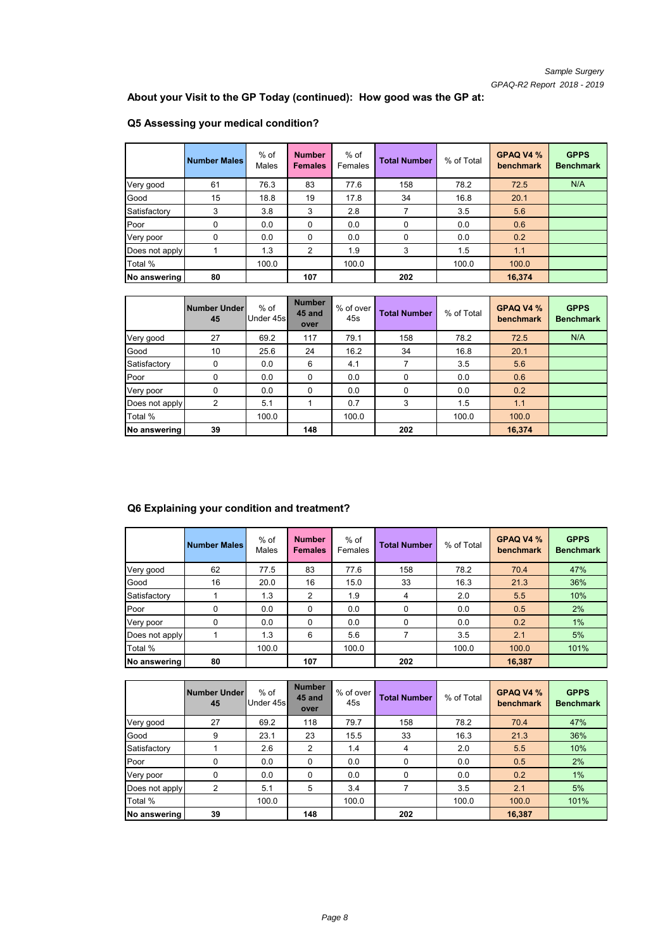**About your Visit to the GP Today (continued): How good was the GP at:**

|                | <b>Number Males</b> | $%$ of<br>Males | <b>Number</b><br><b>Females</b> | % of<br>Females | <b>Total Number</b> | % of Total | GPAQ V4 %<br>benchmark | <b>GPPS</b><br><b>Benchmark</b> |
|----------------|---------------------|-----------------|---------------------------------|-----------------|---------------------|------------|------------------------|---------------------------------|
| Very good      | 61                  | 76.3            | 83                              | 77.6            | 158                 | 78.2       | 72.5                   | N/A                             |
| Good           | 15                  | 18.8            | 19                              | 17.8            | 34                  | 16.8       | 20.1                   |                                 |
| Satisfactory   | 3                   | 3.8             | 3                               | 2.8             |                     | 3.5        | 5.6                    |                                 |
| Poor           | 0                   | 0.0             | $\Omega$                        | 0.0             | $\Omega$            | 0.0        | 0.6                    |                                 |
| Very poor      | 0                   | 0.0             | $\Omega$                        | 0.0             | 0                   | 0.0        | 0.2                    |                                 |
| Does not apply |                     | 1.3             | 2                               | 1.9             | 3                   | 1.5        | 1.1                    |                                 |
| Total %        |                     | 100.0           |                                 | 100.0           |                     | 100.0      | 100.0                  |                                 |
| No answering   | 80                  |                 | 107                             |                 | 202                 |            | 16,374                 |                                 |

# **Q5 Assessing your medical condition?**

|                | Number Under<br>45 | $%$ of<br>Under 45s | <b>Number</b><br>45 and<br>over | % of over<br>45s | <b>Total Number</b> | % of Total | GPAQ V4 %<br>benchmark | <b>GPPS</b><br><b>Benchmark</b> |
|----------------|--------------------|---------------------|---------------------------------|------------------|---------------------|------------|------------------------|---------------------------------|
| Very good      | 27                 | 69.2                | 117                             | 79.1             | 158                 | 78.2       | 72.5                   | N/A                             |
| Good           | 10                 | 25.6                | 24                              | 16.2             | 34                  | 16.8       | 20.1                   |                                 |
| Satisfactory   | 0                  | 0.0                 | 6                               | 4.1              |                     | 3.5        | 5.6                    |                                 |
| Poor           | 0                  | 0.0                 | $\Omega$                        | 0.0              | 0                   | 0.0        | 0.6                    |                                 |
| Very poor      | 0                  | 0.0                 | $\Omega$                        | 0.0              | $\Omega$            | 0.0        | 0.2                    |                                 |
| Does not apply | 2                  | 5.1                 |                                 | 0.7              | 3                   | 1.5        | 1.1                    |                                 |
| Total %        |                    | 100.0               |                                 | 100.0            |                     | 100.0      | 100.0                  |                                 |
| No answering   | 39                 |                     | 148                             |                  | 202                 |            | 16,374                 |                                 |

## **Q6 Explaining your condition and treatment?**

|                | <b>Number Males</b> | $%$ of<br>Males | <b>Number</b><br><b>Females</b> | $%$ of<br>Females | <b>Total Number</b> | % of Total | GPAQ V4 %<br>benchmark | <b>GPPS</b><br><b>Benchmark</b> |
|----------------|---------------------|-----------------|---------------------------------|-------------------|---------------------|------------|------------------------|---------------------------------|
| Very good      | 62                  | 77.5            | 83                              | 77.6              | 158                 | 78.2       | 70.4                   | 47%                             |
| Good           | 16                  | 20.0            | 16                              | 15.0              | 33                  | 16.3       | 21.3                   | 36%                             |
| Satisfactory   |                     | 1.3             | 2                               | 1.9               | 4                   | 2.0        | 5.5                    | 10%                             |
| Poor           | 0                   | 0.0             | $\Omega$                        | 0.0               | 0                   | 0.0        | 0.5                    | 2%                              |
| Very poor      | 0                   | 0.0             | $\Omega$                        | 0.0               | $\Omega$            | 0.0        | 0.2                    | 1%                              |
| Does not apply |                     | 1.3             | 6                               | 5.6               | 7                   | 3.5        | 2.1                    | 5%                              |
| Total %        |                     | 100.0           |                                 | 100.0             |                     | 100.0      | 100.0                  | 101%                            |
| No answering   | 80                  |                 | 107                             |                   | 202                 |            | 16,387                 |                                 |

|                | Number Under<br>45 | $%$ of<br>Under 45s | <b>Number</b><br>45 and<br>over | % of over<br>45s | <b>Total Number</b> | % of Total | GPAQ V4 %<br>benchmark | <b>GPPS</b><br><b>Benchmark</b> |
|----------------|--------------------|---------------------|---------------------------------|------------------|---------------------|------------|------------------------|---------------------------------|
| Very good      | 27                 | 69.2                | 118                             | 79.7             | 158                 | 78.2       | 70.4                   | 47%                             |
| Good           | 9                  | 23.1                | 23                              | 15.5             | 33                  | 16.3       | 21.3                   | 36%                             |
| Satisfactory   |                    | 2.6                 | 2                               | 1.4              | 4                   | 2.0        | 5.5                    | 10%                             |
| Poor           | 0                  | 0.0                 | $\Omega$                        | 0.0              | 0                   | 0.0        | 0.5                    | 2%                              |
| Very poor      | 0                  | 0.0                 | $\Omega$                        | 0.0              | $\Omega$            | 0.0        | 0.2                    | 1%                              |
| Does not apply | 2                  | 5.1                 | 5                               | 3.4              |                     | 3.5        | 2.1                    | 5%                              |
| Total %        |                    | 100.0               |                                 | 100.0            |                     | 100.0      | 100.0                  | 101%                            |
| No answering   | 39                 |                     | 148                             |                  | 202                 |            | 16,387                 |                                 |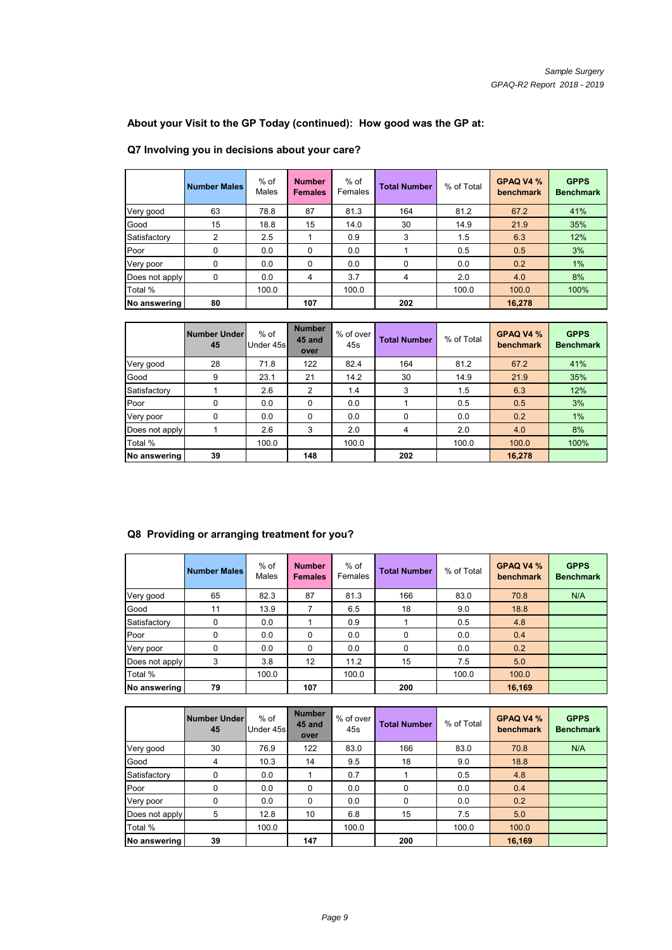**About your Visit to the GP Today (continued): How good was the GP at:**

## **Q7 Involving you in decisions about your care?**

|                | <b>Number Males</b> | $%$ of<br>Males | <b>Number</b><br><b>Females</b> | $%$ of<br>Females | <b>Total Number</b> | % of Total | GPAQ V4 %<br>benchmark | <b>GPPS</b><br><b>Benchmark</b> |
|----------------|---------------------|-----------------|---------------------------------|-------------------|---------------------|------------|------------------------|---------------------------------|
| Very good      | 63                  | 78.8            | 87                              | 81.3              | 164                 | 81.2       | 67.2                   | 41%                             |
| Good           | 15                  | 18.8            | 15                              | 14.0              | 30                  | 14.9       | 21.9                   | 35%                             |
| Satisfactory   | 2                   | 2.5             |                                 | 0.9               | 3                   | 1.5        | 6.3                    | 12%                             |
| Poor           | 0                   | 0.0             | $\Omega$                        | 0.0               |                     | 0.5        | 0.5                    | 3%                              |
| Very poor      | 0                   | 0.0             | 0                               | 0.0               | $\Omega$            | 0.0        | 0.2                    | 1%                              |
| Does not apply | 0                   | 0.0             | 4                               | 3.7               | 4                   | 2.0        | 4.0                    | 8%                              |
| Total %        |                     | 100.0           |                                 | 100.0             |                     | 100.0      | 100.0                  | 100%                            |
| No answering   | 80                  |                 | 107                             |                   | 202                 |            | 16,278                 |                                 |

|                | Number Under<br>45 | $%$ of<br>Under 45s | <b>Number</b><br>45 and<br>over | % of over<br>45s | <b>Total Number</b> | % of Total | GPAQ V4 %<br>benchmark | <b>GPPS</b><br><b>Benchmark</b> |
|----------------|--------------------|---------------------|---------------------------------|------------------|---------------------|------------|------------------------|---------------------------------|
| Very good      | 28                 | 71.8                | 122                             | 82.4             | 164                 | 81.2       | 67.2                   | 41%                             |
| Good           | 9                  | 23.1                | 21                              | 14.2             | 30                  | 14.9       | 21.9                   | 35%                             |
| Satisfactory   |                    | 2.6                 | 2                               | 1.4              | 3                   | 1.5        | 6.3                    | 12%                             |
| Poor           | 0                  | 0.0                 | $\Omega$                        | 0.0              |                     | 0.5        | 0.5                    | 3%                              |
| Very poor      | 0                  | 0.0                 | 0                               | 0.0              | 0                   | 0.0        | 0.2                    | 1%                              |
| Does not apply |                    | 2.6                 | 3                               | 2.0              | 4                   | 2.0        | 4.0                    | 8%                              |
| Total %        |                    | 100.0               |                                 | 100.0            |                     | 100.0      | 100.0                  | 100%                            |
| No answering   | 39                 |                     | 148                             |                  | 202                 |            | 16,278                 |                                 |

## **Q8 Providing or arranging treatment for you?**

|                | <b>Number Males</b> | $%$ of<br>Males | <b>Number</b><br><b>Females</b> | % of<br>Females | <b>Total Number</b> | % of Total | GPAQ V4 %<br>benchmark | <b>GPPS</b><br><b>Benchmark</b> |
|----------------|---------------------|-----------------|---------------------------------|-----------------|---------------------|------------|------------------------|---------------------------------|
| Very good      | 65                  | 82.3            | 87                              | 81.3            | 166                 | 83.0       | 70.8                   | N/A                             |
| Good           | 11                  | 13.9            | 7                               | 6.5             | 18                  | 9.0        | 18.8                   |                                 |
| Satisfactory   | 0                   | 0.0             |                                 | 0.9             |                     | 0.5        | 4.8                    |                                 |
| Poor           | 0                   | 0.0             | $\Omega$                        | 0.0             | 0                   | 0.0        | 0.4                    |                                 |
| Very poor      | 0                   | 0.0             | $\Omega$                        | 0.0             | 0                   | 0.0        | 0.2                    |                                 |
| Does not apply | 3                   | 3.8             | 12                              | 11.2            | 15                  | 7.5        | 5.0                    |                                 |
| Total %        |                     | 100.0           |                                 | 100.0           |                     | 100.0      | 100.0                  |                                 |
| No answering   | 79                  |                 | 107                             |                 | 200                 |            | 16,169                 |                                 |

|                | Number Under<br>45 | $%$ of<br>Under 45s | <b>Number</b><br>45 and<br>over | % of over<br>45s | <b>Total Number</b> | % of Total | GPAQ V4 %<br>benchmark | <b>GPPS</b><br><b>Benchmark</b> |
|----------------|--------------------|---------------------|---------------------------------|------------------|---------------------|------------|------------------------|---------------------------------|
| Very good      | 30                 | 76.9                | 122                             | 83.0             | 166                 | 83.0       | 70.8                   | N/A                             |
| Good           | 4                  | 10.3                | 14                              | 9.5              | 18                  | 9.0        | 18.8                   |                                 |
| Satisfactory   | 0                  | 0.0                 |                                 | 0.7              |                     | 0.5        | 4.8                    |                                 |
| Poor           | 0                  | 0.0                 | $\Omega$                        | 0.0              | 0                   | 0.0        | 0.4                    |                                 |
| Very poor      | 0                  | 0.0                 | $\Omega$                        | 0.0              | 0                   | 0.0        | 0.2                    |                                 |
| Does not apply | 5                  | 12.8                | 10                              | 6.8              | 15                  | 7.5        | 5.0                    |                                 |
| Total %        |                    | 100.0               |                                 | 100.0            |                     | 100.0      | 100.0                  |                                 |
| No answering   | 39                 |                     | 147                             |                  | 200                 |            | 16,169                 |                                 |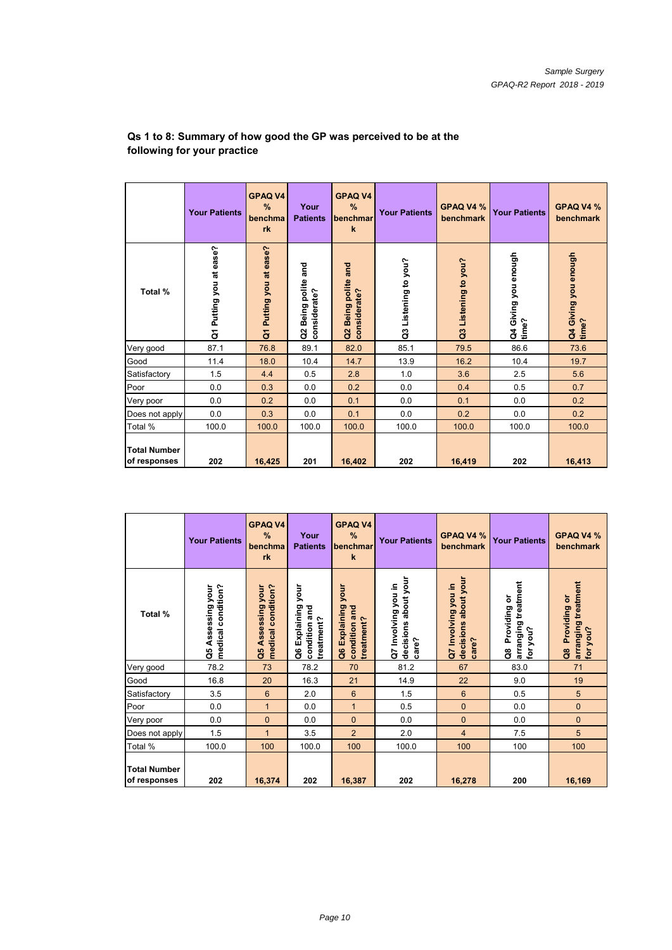|                                     | <b>Your Patients</b>    | <b>GPAQ V4</b><br>%<br>benchma<br>rk   | Your<br><b>Patients</b>                  | <b>GPAQ V4</b><br>%<br>benchmar<br>$\mathbf k$ | <b>Your Patients</b>   | GPAQ V4 %<br>benchmark | <b>Your Patients</b>          | GPAQ V4 %<br>benchmark        |
|-------------------------------------|-------------------------|----------------------------------------|------------------------------------------|------------------------------------------------|------------------------|------------------------|-------------------------------|-------------------------------|
| Total %                             | Q1 Putting you at ease? | Putting you at ease?<br>$\overline{a}$ | and<br>Being polite<br>considerate?<br>g | Being polite and<br>considerate?<br>ã          | Listening to you?<br>G | Q3 Listening to you?   | Q4 Giving you enough<br>time? | Q4 Giving you enough<br>time? |
| Very good                           | 87.1                    | 76.8                                   | 89.1                                     | 82.0                                           | 85.1                   | 79.5                   | 86.6                          | 73.6                          |
| Good                                | 11.4                    | 18.0                                   | 10.4                                     | 14.7                                           | 13.9                   | 16.2                   | 10.4                          | 19.7                          |
| Satisfactory                        | 1.5                     | 4.4                                    | 0.5                                      | 2.8                                            | 1.0                    | 3.6                    | 2.5                           | 5.6                           |
| Poor                                | 0.0                     | 0.3                                    | 0.0                                      | 0.2                                            | 0.0                    | 0.4                    | 0.5                           | 0.7                           |
| Very poor                           | 0.0                     | 0.2                                    | 0.0                                      | 0.1                                            | 0.0                    | 0.1                    | 0.0                           | 0.2                           |
| Does not apply                      | 0.0                     | 0.3                                    | 0.0                                      | 0.1                                            | 0.0                    | 0.2                    | 0.0                           | 0.2                           |
| Total %                             | 100.0                   | 100.0                                  | 100.0                                    | 100.0                                          | 100.0                  | 100.0                  | 100.0                         | 100.0                         |
| <b>Total Number</b><br>of responses | 202                     | 16,425                                 | 201                                      | 16,402                                         | 202                    | 16,419                 | 202                           | 16,413                        |

#### **Qs 1 to 8: Summary of how good the GP was perceived to be at the following for your practice**

|                                     | <b>Your Patients</b>                       | <b>GPAQ V4</b><br>%<br>benchma<br>rk       | Your<br><b>Patients</b>                                 | <b>GPAQ V4</b><br>%<br>benchmar<br>$\mathbf k$         | <b>Your Patients</b>                                 | GPAQ V4 %<br>benchmark                               | <b>Your Patients</b>                                 | GPAQ V4 %<br>benchmark                             |
|-------------------------------------|--------------------------------------------|--------------------------------------------|---------------------------------------------------------|--------------------------------------------------------|------------------------------------------------------|------------------------------------------------------|------------------------------------------------------|----------------------------------------------------|
| Total %                             | medical condition?<br>Assessing your<br>ဗိ | medical condition?<br>Assessing your<br>å, | your<br>Explaining<br>condition and<br>treatment?<br>ဗီ | your<br>Explaining<br>condition and<br>treatment?<br>å | decisions about your<br>Q7 Involving you in<br>care? | decisions about your<br>Q7 Involving you in<br>care? | arranging treatment<br>Providing or<br>for you?<br>å | arranging treatment<br>Q8 Providing or<br>for you? |
| Very good                           | 78.2                                       | 73                                         | 78.2                                                    | 70                                                     | 81.2                                                 | 67                                                   | 83.0                                                 | 71                                                 |
| Good                                | 16.8                                       | 20                                         | 16.3                                                    | 21                                                     | 14.9                                                 | 22                                                   | 9.0                                                  | 19                                                 |
| Satisfactory                        | 3.5                                        | 6                                          | 2.0                                                     | $6\phantom{1}$                                         | 1.5                                                  | $6\phantom{1}$                                       | 0.5                                                  | 5                                                  |
| Poor                                | 0.0                                        | $\mathbf{1}$                               | 0.0                                                     | $\mathbf{1}$                                           | 0.5                                                  | $\mathbf{0}$                                         | 0.0                                                  | $\mathbf{0}$                                       |
| Very poor                           | 0.0                                        | $\overline{0}$                             | 0.0                                                     | $\overline{0}$                                         | 0.0                                                  | $\mathbf{0}$                                         | 0.0                                                  | $\overline{0}$                                     |
| Does not apply                      | 1.5                                        | $\mathbf{1}$                               | 3.5                                                     | $\overline{2}$                                         | 2.0                                                  | $\overline{4}$                                       | 7.5                                                  | 5                                                  |
| Total %                             | 100.0                                      | 100                                        | 100.0                                                   | 100                                                    | 100.0                                                | 100                                                  | 100                                                  | 100                                                |
| <b>Total Number</b><br>of responses | 202                                        | 16,374                                     | 202                                                     | 16,387                                                 | 202                                                  | 16,278                                               | 200                                                  | 16,169                                             |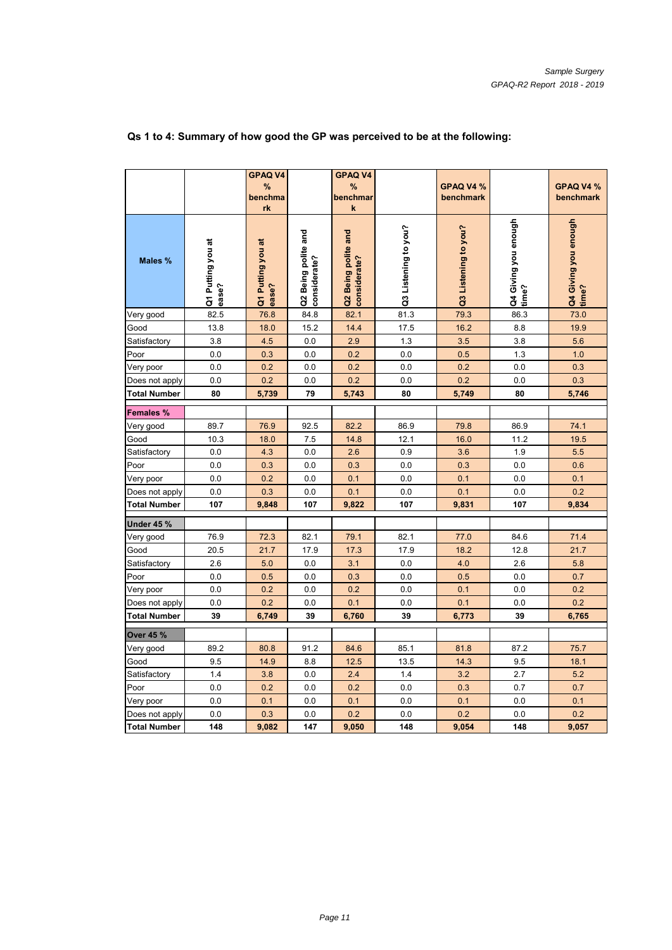|                     |                            | <b>GPAQ V4</b><br>%        |                                     | <b>GPAQ V4</b><br>%                 |                      | GPAQ V4 %            |                               | GPAQ V4 %                     |
|---------------------|----------------------------|----------------------------|-------------------------------------|-------------------------------------|----------------------|----------------------|-------------------------------|-------------------------------|
|                     |                            | benchma<br>rk              |                                     | benchmar<br>$\pmb{\mathsf{k}}$      |                      | benchmark            |                               | benchmark                     |
| Males %             | Q1 Putting you at<br>ease? | Q1 Putting you at<br>ease? | Q2 Being polite and<br>considerate? | Q2 Being polite and<br>considerate? | Q3 Listening to you? | Q3 Listening to you? | Q4 Giving you enough<br>time? | Q4 Giving you enough<br>time? |
| Very good           | 82.5                       | 76.8                       | 84.8                                | 82.1                                | 81.3                 | 79.3                 | 86.3                          | 73.0                          |
| Good                | 13.8                       | 18.0                       | 15.2                                | 14.4                                | 17.5                 | 16.2                 | 8.8                           | 19.9                          |
| Satisfactory        | 3.8                        | 4.5                        | 0.0                                 | 2.9                                 | 1.3                  | 3.5                  | 3.8                           | 5.6                           |
| Poor                | 0.0                        | 0.3                        | 0.0                                 | 0.2                                 | 0.0                  | 0.5                  | 1.3                           | 1.0                           |
| Very poor           | 0.0                        | 0.2                        | 0.0                                 | 0.2                                 | 0.0                  | 0.2                  | 0.0                           | 0.3                           |
| Does not apply      | 0.0                        | 0.2                        | 0.0                                 | 0.2                                 | 0.0                  | 0.2                  | 0.0                           | 0.3                           |
| Total Number        | 80                         | 5,739                      | 79                                  | 5,743                               | 80                   | 5,749                | 80                            | 5,746                         |
| Females %           |                            |                            |                                     |                                     |                      |                      |                               |                               |
| Very good           | 89.7                       | 76.9                       | 92.5                                | 82.2                                | 86.9                 | 79.8                 | 86.9                          | 74.1                          |
| Good                | 10.3                       | 18.0                       | 7.5                                 | 14.8                                | 12.1                 | 16.0                 | 11.2                          | 19.5                          |
| Satisfactory        | 0.0                        | 4.3                        | 0.0                                 | 2.6                                 | 0.9                  | 3.6                  | 1.9                           | 5.5                           |
| Poor                | 0.0                        | 0.3                        | 0.0                                 | 0.3                                 | 0.0                  | 0.3                  | 0.0                           | 0.6                           |
| Very poor           | 0.0                        | 0.2                        | 0.0                                 | 0.1                                 | 0.0                  | 0.1                  | 0.0                           | 0.1                           |
| Does not apply      | 0.0                        | 0.3                        | 0.0                                 | 0.1                                 | 0.0                  | 0.1                  | 0.0                           | 0.2                           |
| <b>Total Number</b> | 107                        | 9,848                      | 107                                 | 9,822                               | 107                  | 9,831                | 107                           | 9,834                         |
| Under 45 %          |                            |                            |                                     |                                     |                      |                      |                               |                               |
| Very good           | 76.9                       | 72.3                       | 82.1                                | 79.1                                | 82.1                 | 77.0                 | 84.6                          | 71.4                          |
| Good                | 20.5                       | 21.7                       | 17.9                                | 17.3                                | 17.9                 | 18.2                 | 12.8                          | 21.7                          |
| Satisfactory        | 2.6                        | 5.0                        | 0.0                                 | 3.1                                 | 0.0                  | 4.0                  | 2.6                           | 5.8                           |
| Poor                | 0.0                        | 0.5                        | 0.0                                 | 0.3                                 | 0.0                  | 0.5                  | 0.0                           | 0.7                           |
| √ery poor           | 0.0                        | 0.2                        | 0.0                                 | 0.2                                 | 0.0                  | 0.1                  | 0.0                           | 0.2                           |
| Does not apply      | 0.0                        | 0.2                        | 0.0                                 | 0.1                                 | 0.0                  | 0.1                  | 0.0                           | 0.2                           |
| Total Number        | 39                         | 6,749                      | 39                                  | 6,760                               | 39                   | 6,773                | 39                            | 6,765                         |
| Over 45 %           |                            |                            |                                     |                                     |                      |                      |                               |                               |
| Very good           | 89.2                       | 80.8                       | 91.2                                | 84.6                                | 85.1                 | 81.8                 | 87.2                          | 75.7                          |
| Good                | 9.5                        | 14.9                       | 8.8                                 | 12.5                                | 13.5                 | 14.3                 | 9.5                           | 18.1                          |
| Satisfactory        | 1.4                        | 3.8                        | 0.0                                 | 2.4                                 | 1.4                  | 3.2                  | 2.7                           | 5.2                           |
| Poor                | 0.0                        | 0.2                        | 0.0                                 | 0.2                                 | 0.0                  | 0.3                  | 0.7                           | 0.7                           |
| Very poor           | 0.0                        | 0.1                        | 0.0                                 | 0.1                                 | 0.0                  | 0.1                  | 0.0                           | 0.1                           |
| Does not apply      | 0.0                        | 0.3                        | 0.0                                 | 0.2                                 | 0.0                  | 0.2                  | 0.0                           | 0.2                           |
| <b>Total Number</b> | 148                        | 9,082                      | 147                                 | 9,050                               | 148                  | 9,054                | 148                           | 9,057                         |

## **Qs 1 to 4: Summary of how good the GP was perceived to be at the following:**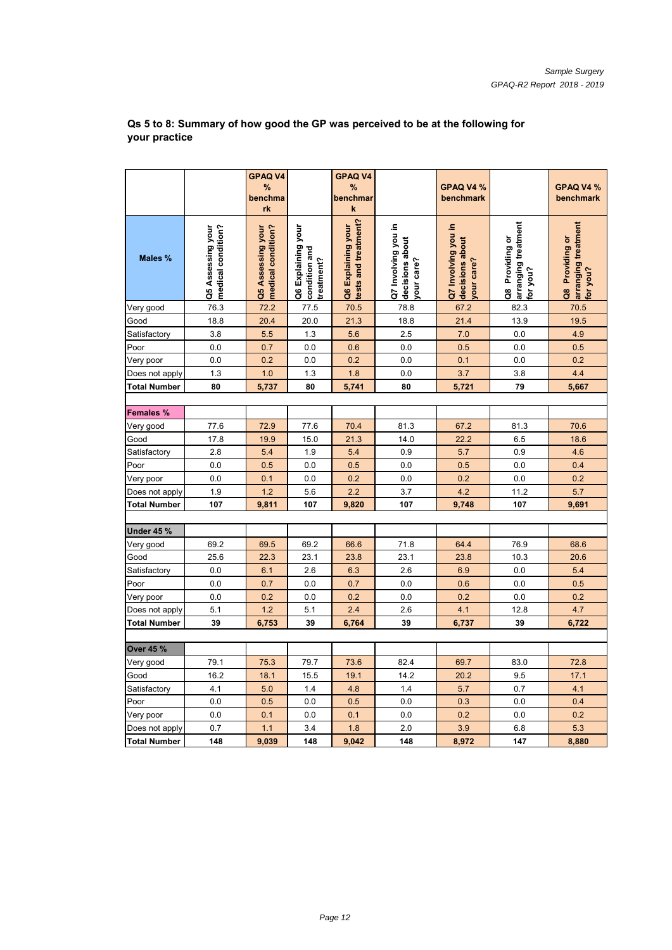|                     |                                         | <b>GPAQ V4</b><br>%<br>benchma          |                                                  | <b>GPAQ V4</b><br>%<br>benchmar            |                                                      | GPAQ V4 %<br>benchmark                               |                                                    | GPAQ V4 %<br>benchmark                             |
|---------------------|-----------------------------------------|-----------------------------------------|--------------------------------------------------|--------------------------------------------|------------------------------------------------------|------------------------------------------------------|----------------------------------------------------|----------------------------------------------------|
|                     |                                         | rk                                      |                                                  | $\mathbf k$                                |                                                      |                                                      |                                                    |                                                    |
| Males %             | medical condition?<br>Q5 Assessing your | medical condition?<br>Q5 Assessing your | Q6 Explaining your<br>condition and<br>reatment? | tests and treatment?<br>Q6 Explaining your | Q7 Involving you in<br>decisions about<br>/our care? | Q7 Involving you in<br>decisions about<br>your care? | arranging treatment<br>Q8 Providing or<br>for you? | arranging treatment<br>Q8 Providing or<br>for you? |
| Very good           | 76.3                                    | 72.2                                    | 77.5                                             | 70.5                                       | 78.8                                                 | 67.2                                                 | 82.3                                               | 70.5                                               |
| Good                | 18.8                                    | 20.4                                    | 20.0                                             | 21.3                                       | 18.8                                                 | 21.4                                                 | 13.9                                               | 19.5                                               |
| Satisfactory        | 3.8                                     | 5.5                                     | 1.3                                              | 5.6                                        | 2.5                                                  | 7.0                                                  | 0.0                                                | 4.9                                                |
| Poor                | 0.0                                     | 0.7                                     | 0.0                                              | 0.6                                        | 0.0                                                  | 0.5                                                  | 0.0                                                | 0.5                                                |
| Very poor           | 0.0                                     | 0.2                                     | 0.0                                              | 0.2                                        | 0.0                                                  | 0.1                                                  | 0.0                                                | 0.2                                                |
| Does not apply      | 1.3                                     | 1.0                                     | 1.3                                              | 1.8                                        | 0.0                                                  | 3.7                                                  | 3.8                                                | 4.4                                                |
| <b>Total Number</b> | 80                                      | 5,737                                   | 80                                               | 5,741                                      | 80                                                   | 5,721                                                | 79                                                 | 5,667                                              |
|                     |                                         |                                         |                                                  |                                            |                                                      |                                                      |                                                    |                                                    |
| Females %           |                                         |                                         |                                                  |                                            |                                                      |                                                      |                                                    |                                                    |
| Very good           | 77.6                                    | 72.9                                    | 77.6                                             | 70.4                                       | 81.3                                                 | 67.2                                                 | 81.3                                               | 70.6                                               |
| Good                | 17.8                                    | 19.9                                    | 15.0                                             | 21.3                                       | 14.0                                                 | 22.2                                                 | 6.5                                                | 18.6                                               |
| Satisfactory        | 2.8                                     | 5.4                                     | 1.9                                              | 5.4                                        | 0.9                                                  | 5.7                                                  | 0.9                                                | 4.6                                                |
| Poor                | 0.0                                     | 0.5                                     | 0.0                                              | 0.5                                        | 0.0                                                  | 0.5                                                  | 0.0                                                | 0.4                                                |
| Very poor           | 0.0                                     | 0.1                                     | 0.0                                              | 0.2                                        | 0.0                                                  | 0.2                                                  | 0.0                                                | 0.2                                                |
| Does not apply      | 1.9                                     | 1.2                                     | 5.6                                              | 2.2                                        | 3.7                                                  | 4.2                                                  | 11.2                                               | 5.7                                                |
| <b>Total Number</b> | 107                                     | 9,811                                   | 107                                              | 9,820                                      | 107                                                  | 9,748                                                | 107                                                | 9,691                                              |
|                     |                                         |                                         |                                                  |                                            |                                                      |                                                      |                                                    |                                                    |
| <b>Under 45 %</b>   |                                         |                                         |                                                  |                                            |                                                      |                                                      |                                                    |                                                    |
| Very good           | 69.2                                    | 69.5                                    | 69.2                                             | 66.6                                       | 71.8                                                 | 64.4                                                 | 76.9                                               | 68.6                                               |
| Good                | 25.6                                    | 22.3                                    | 23.1                                             | 23.8                                       | 23.1                                                 | 23.8                                                 | 10.3                                               | 20.6                                               |
| Satisfactory        | 0.0                                     | 6.1                                     | 2.6                                              | 6.3                                        | 2.6                                                  | 6.9                                                  | 0.0                                                | 5.4                                                |
| Poor                | 0.0                                     | 0.7                                     | 0.0                                              | 0.7                                        | 0.0                                                  | 0.6                                                  | 0.0                                                | 0.5                                                |
| Very poor           | 0.0                                     | 0.2                                     | 0.0                                              | 0.2                                        | 0.0                                                  | 0.2                                                  | 0.0                                                | 0.2                                                |
| Does not apply      | 5.1                                     | 1.2                                     | 5.1                                              | 2.4                                        | 2.6                                                  | 4.1                                                  | 12.8                                               | 4.7                                                |
| Total Number        | 39                                      | 6,753                                   | 39                                               | 6,764                                      | 39                                                   | 6,737                                                | 39                                                 | 6,722                                              |
| Over 45 %           |                                         |                                         |                                                  |                                            |                                                      |                                                      |                                                    |                                                    |
| Very good           | 79.1                                    | 75.3                                    | 79.7                                             | 73.6                                       | 82.4                                                 | 69.7                                                 | 83.0                                               | 72.8                                               |
| Good                | 16.2                                    | 18.1                                    | 15.5                                             | 19.1                                       | 14.2                                                 | 20.2                                                 | 9.5                                                | 17.1                                               |
| Satisfactory        | 4.1                                     | 5.0                                     | 1.4                                              | 4.8                                        | 1.4                                                  | 5.7                                                  | 0.7                                                | 4.1                                                |
| Poor                | 0.0                                     | 0.5                                     | 0.0                                              | 0.5                                        | 0.0                                                  | 0.3                                                  | 0.0                                                | 0.4                                                |
| Very poor           | 0.0                                     | 0.1                                     | 0.0                                              | 0.1                                        | 0.0                                                  | 0.2                                                  | 0.0                                                | 0.2                                                |
| Does not apply      | 0.7                                     | 1.1                                     | 3.4                                              | 1.8                                        | 2.0                                                  | 3.9                                                  | 6.8                                                | 5.3                                                |
| <b>Total Number</b> | 148                                     | 9,039                                   | 148                                              | 9,042                                      | 148                                                  | 8,972                                                | 147                                                | 8,880                                              |

#### **Qs 5 to 8: Summary of how good the GP was perceived to be at the following for your practice**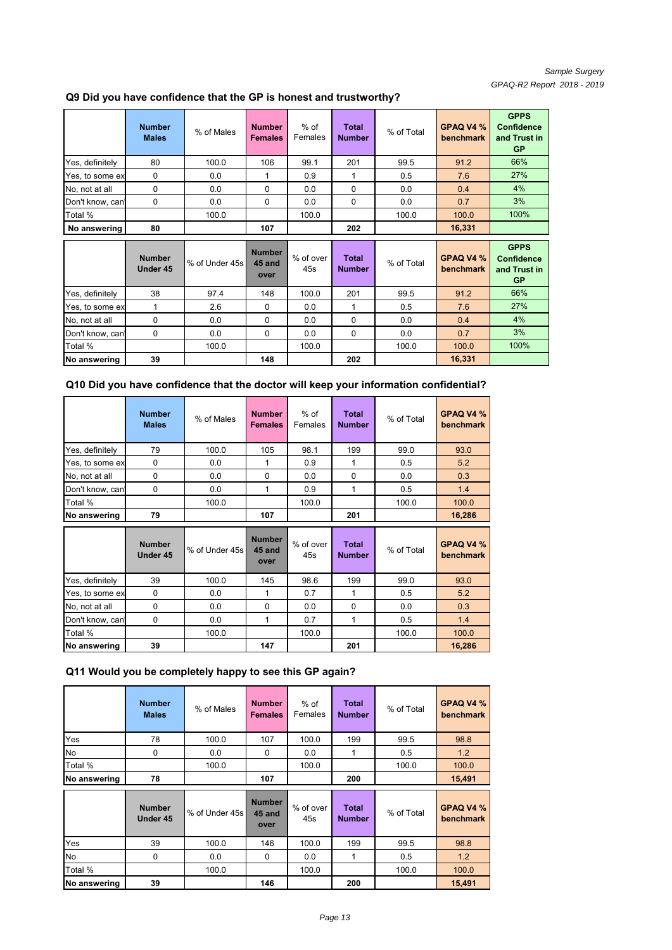## **Q9 Did you have confidence that the GP is honest and trustworthy?**

|                  | <b>Number</b><br><b>Males</b> | % of Males     | <b>Number</b><br><b>Females</b> | $%$ of<br>Females | <b>Total</b><br><b>Number</b> | % of Total | GPAQ V4 %<br>benchmark | <b>GPPS</b><br><b>Confidence</b><br>and Trust in<br><b>GP</b> |
|------------------|-------------------------------|----------------|---------------------------------|-------------------|-------------------------------|------------|------------------------|---------------------------------------------------------------|
| Yes, definitely  | 80                            | 100.0          | 106                             | 99.1              | 201                           | 99.5       | 91.2                   | 66%                                                           |
| Yes, to some ex  | 0                             | 0.0            | 1                               | 0.9               | 1                             | 0.5        | 7.6                    | 27%                                                           |
| No, not at all   | 0                             | 0.0            | 0                               | 0.0               | 0                             | 0.0        | 0.4                    | 4%                                                            |
| Don't know, can' | 0                             | 0.0            | 0                               | 0.0               | $\Omega$                      | 0.0        | 0.7                    | 3%                                                            |
| Total %          |                               | 100.0          |                                 | 100.0             |                               | 100.0      | 100.0                  | 100%                                                          |
| No answering     | 80                            |                | 107                             |                   | 202                           |            | 16,331                 |                                                               |
|                  |                               |                |                                 |                   |                               |            |                        |                                                               |
|                  | <b>Number</b><br>Under 45     | % of Under 45s | <b>Number</b><br>45 and<br>over | % of over<br>45s  | <b>Total</b><br><b>Number</b> | % of Total | GPAQ V4 %<br>benchmark | <b>GPPS</b><br><b>Confidence</b><br>and Trust in<br><b>GP</b> |
| Yes, definitely  | 38                            | 97.4           | 148                             | 100.0             | 201                           | 99.5       | 91.2                   | 66%                                                           |
| Yes, to some ex  | 1                             | 2.6            | 0                               | 0.0               | 1                             | 0.5        | 7.6                    | 27%                                                           |
| No, not at all   | 0                             | 0.0            | 0                               | 0.0               | 0                             | 0.0        | 0.4                    | 4%                                                            |
| Don't know, can  | 0                             | 0.0            | $\Omega$                        | 0.0               | 0                             | 0.0        | 0.7                    | 3%                                                            |
| Total %          |                               | 100.0          |                                 | 100.0             |                               | 100.0      | 100.0                  | 100%                                                          |

#### **Q10 Did you have confidence that the doctor will keep your information confidential?**

|                  | <b>Number</b><br><b>Males</b> | % of Males     | <b>Number</b><br><b>Females</b> | $%$ of<br>Females | <b>Total</b><br><b>Number</b> | % of Total | GPAQ V4 %<br>benchmark |
|------------------|-------------------------------|----------------|---------------------------------|-------------------|-------------------------------|------------|------------------------|
| Yes, definitely  | 79                            | 100.0          | 105                             | 98.1              | 199                           | 99.0       | 93.0                   |
| Yes, to some ex  | 0                             | 0.0            | 1                               | 0.9               | 1                             | 0.5        | 5.2                    |
| No, not at all   | $\Omega$                      | 0.0            | $\Omega$                        | 0.0               | $\mathbf{0}$                  | 0.0        | 0.3                    |
| Don't know, can  | $\Omega$                      | 0.0            | 1                               | 0.9               | 1                             | 0.5        | 1.4                    |
| Total %          |                               | 100.0          |                                 | 100.0             |                               | 100.0      | 100.0                  |
| No answering     | 79                            |                | 107                             |                   | 201                           |            | 16,286                 |
|                  |                               |                |                                 |                   |                               |            |                        |
|                  | <b>Number</b><br>Under 45     | % of Under 45s | <b>Number</b><br>45 and<br>over | % of over<br>45s  | <b>Total</b><br><b>Number</b> | % of Total | GPAQ V4 %<br>benchmark |
| Yes, definitely  | 39                            | 100.0          | 145                             | 98.6              | 199                           | 99.0       | 93.0                   |
| Yes, to some ex  | 0                             | 0.0            | 1                               | 0.7               | 1                             | 0.5        | 5.2                    |
| No, not at all   | $\Omega$                      | 0.0            | $\Omega$                        | 0.0               | $\mathbf{0}$                  | 0.0        | 0.3                    |
| Don't know, can' | 0                             | 0.0            | 1                               | 0.7               | 1                             | 0.5        | 1.4                    |
| Total %          |                               | 100.0          |                                 | 100.0             |                               | 100.0      | 100.0                  |

## **Q11 Would you be completely happy to see this GP again?**

|              | <b>Number</b><br><b>Males</b> | % of Males     | <b>Number</b><br><b>Females</b> | $%$ of<br>Females | <b>Total</b><br><b>Number</b> | % of Total | GPAQ V4 %<br>benchmark |
|--------------|-------------------------------|----------------|---------------------------------|-------------------|-------------------------------|------------|------------------------|
| Yes          | 78                            | 100.0          | 107                             | 100.0             | 199                           | 99.5       | 98.8                   |
| No           | $\mathbf 0$                   | 0.0            | 0                               | 0.0               | 1                             | 0.5        | 1.2                    |
| Total %      |                               | 100.0          |                                 | 100.0             |                               | 100.0      | 100.0                  |
| No answering | 78                            |                | 107                             |                   | 200                           |            | 15,491                 |
|              |                               |                |                                 |                   |                               |            |                        |
|              | <b>Number</b><br>Under 45     | % of Under 45s | <b>Number</b><br>45 and<br>over | % of over<br>45s  | <b>Total</b><br><b>Number</b> | % of Total | GPAQ V4 %<br>benchmark |
| Yes          | 39                            | 100.0          | 146                             | 100.0             | 199                           | 99.5       | 98.8                   |
| No           | 0                             | 0.0            | 0                               | 0.0               | 1                             | 0.5        | 1.2                    |
| Total %      |                               | 100.0          |                                 | 100.0             |                               | 100.0      | 100.0                  |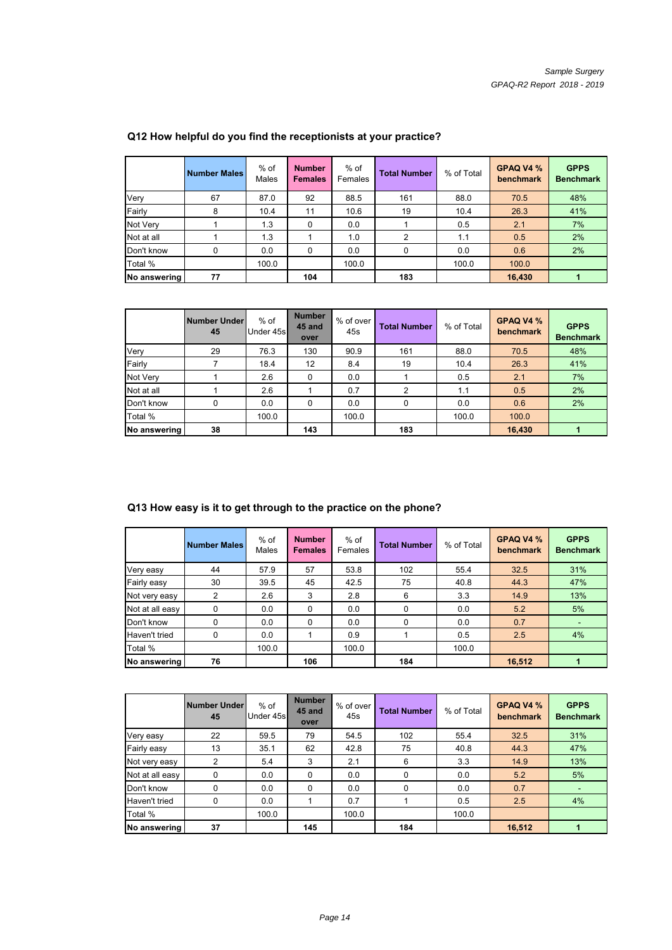|              | <b>Number Males</b> | $%$ of<br>Males | <b>Number</b><br><b>Females</b> | $%$ of<br>Females | <b>Total Number</b> | % of Total | GPAQ V4 %<br>benchmark | <b>GPPS</b><br><b>Benchmark</b> |
|--------------|---------------------|-----------------|---------------------------------|-------------------|---------------------|------------|------------------------|---------------------------------|
| Very         | 67                  | 87.0            | 92                              | 88.5              | 161                 | 88.0       | 70.5                   | 48%                             |
| Fairly       | 8                   | 10.4            | 11                              | 10.6              | 19                  | 10.4       | 26.3                   | 41%                             |
| Not Very     |                     | 1.3             | $\Omega$                        | 0.0               |                     | 0.5        | 2.1                    | 7%                              |
| Not at all   |                     | 1.3             |                                 | 1.0               | 2                   | 1.1        | 0.5                    | 2%                              |
| Don't know   | 0                   | 0.0             | $\Omega$                        | 0.0               | 0                   | 0.0        | 0.6                    | 2%                              |
| Total %      |                     | 100.0           |                                 | 100.0             |                     | 100.0      | 100.0                  |                                 |
| No answering | 77                  |                 | 104                             |                   | 183                 |            | 16.430                 |                                 |

## **Q12 How helpful do you find the receptionists at your practice?**

|              | <b>Number Under</b><br>45 | $%$ of<br>Under 45s | <b>Number</b><br>45 and<br>over | % of over<br>45s | <b>Total Number</b> | % of Total | GPAQ V4 %<br>benchmark | <b>GPPS</b><br><b>Benchmark</b> |
|--------------|---------------------------|---------------------|---------------------------------|------------------|---------------------|------------|------------------------|---------------------------------|
| Very         | 29                        | 76.3                | 130                             | 90.9             | 161                 | 88.0       | 70.5                   | 48%                             |
| Fairly       |                           | 18.4                | 12                              | 8.4              | 19                  | 10.4       | 26.3                   | 41%                             |
| Not Very     |                           | 2.6                 | $\Omega$                        | 0.0              |                     | 0.5        | 2.1                    | 7%                              |
| Not at all   |                           | 2.6                 |                                 | 0.7              | 2                   | 1.1        | 0.5                    | 2%                              |
| Don't know   | 0                         | 0.0                 | $\Omega$                        | 0.0              | 0                   | 0.0        | 0.6                    | 2%                              |
| Total %      |                           | 100.0               |                                 | 100.0            |                     | 100.0      | 100.0                  |                                 |
| No answering | 38                        |                     | 143                             |                  | 183                 |            | 16,430                 | 1                               |

# **Q13 How easy is it to get through to the practice on the phone?**

|                 | <b>Number Males</b> | $%$ of<br>Males | <b>Number</b><br><b>Females</b> | $%$ of<br>Females | <b>Total Number</b> | % of Total | GPAQ V4 %<br>benchmark | <b>GPPS</b><br><b>Benchmark</b> |
|-----------------|---------------------|-----------------|---------------------------------|-------------------|---------------------|------------|------------------------|---------------------------------|
| Very easy       | 44                  | 57.9            | 57                              | 53.8              | 102                 | 55.4       | 32.5                   | 31%                             |
| Fairly easy     | 30                  | 39.5            | 45                              | 42.5              | 75                  | 40.8       | 44.3                   | 47%                             |
| Not very easy   | 2                   | 2.6             | 3                               | 2.8               | 6                   | 3.3        | 14.9                   | 13%                             |
| Not at all easy | 0                   | 0.0             | 0                               | 0.0               | $\Omega$            | 0.0        | 5.2                    | 5%                              |
| Don't know      | 0                   | 0.0             | $\Omega$                        | 0.0               | 0                   | 0.0        | 0.7                    | $\blacksquare$                  |
| Haven't tried   | 0                   | 0.0             |                                 | 0.9               |                     | 0.5        | 2.5                    | 4%                              |
| Total %         |                     | 100.0           |                                 | 100.0             |                     | 100.0      |                        |                                 |
| No answering    | 76                  |                 | 106                             |                   | 184                 |            | 16,512                 |                                 |

|                 | Number Under<br>45 | $%$ of<br>Under 45s | <b>Number</b><br>45 and<br>over | % of over<br>45s | <b>Total Number</b> | % of Total | GPAQ V4 %<br>benchmark | <b>GPPS</b><br><b>Benchmark</b> |
|-----------------|--------------------|---------------------|---------------------------------|------------------|---------------------|------------|------------------------|---------------------------------|
| Very easy       | 22                 | 59.5                | 79                              | 54.5             | 102                 | 55.4       | 32.5                   | 31%                             |
| Fairly easy     | 13                 | 35.1                | 62                              | 42.8             | 75                  | 40.8       | 44.3                   | 47%                             |
| Not very easy   | 2                  | 5.4                 | 3                               | 2.1              | 6                   | 3.3        | 14.9                   | 13%                             |
| Not at all easy | 0                  | 0.0                 | $\Omega$                        | 0.0              | 0                   | 0.0        | 5.2                    | 5%                              |
| Don't know      | 0                  | 0.0                 | $\Omega$                        | 0.0              | $\Omega$            | 0.0        | 0.7                    |                                 |
| Haven't tried   | 0                  | 0.0                 |                                 | 0.7              |                     | 0.5        | 2.5                    | 4%                              |
| Total %         |                    | 100.0               |                                 | 100.0            |                     | 100.0      |                        |                                 |
| No answering    | 37                 |                     | 145                             |                  | 184                 |            | 16,512                 |                                 |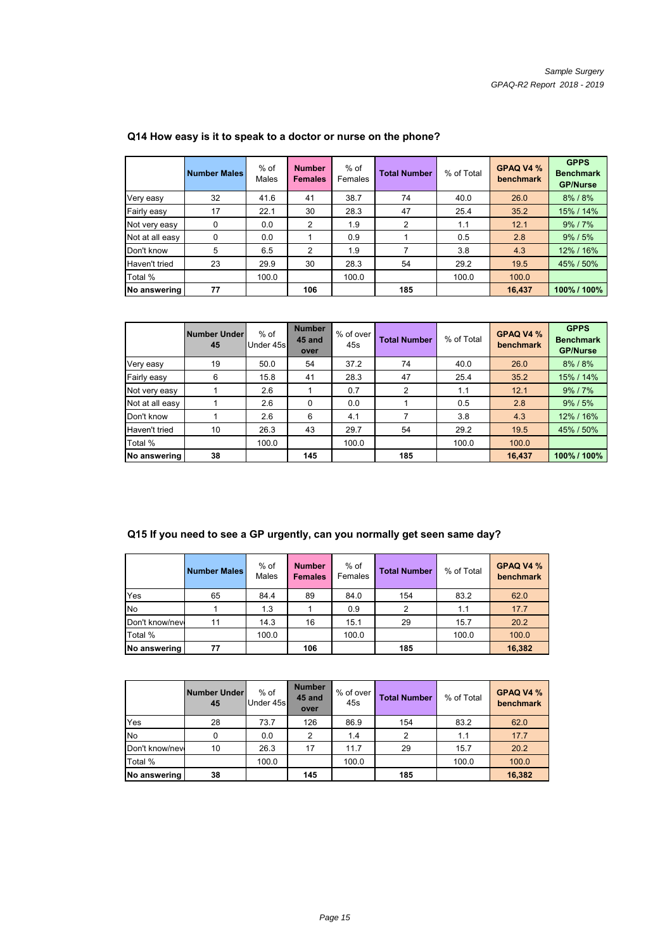|                 | <b>Number Males</b> | $%$ of<br>Males | <b>Number</b><br><b>Females</b> | $%$ of<br>Females | <b>Total Number</b> | % of Total | GPAQ V4 %<br>benchmark | <b>GPPS</b><br><b>Benchmark</b><br><b>GP/Nurse</b> |
|-----------------|---------------------|-----------------|---------------------------------|-------------------|---------------------|------------|------------------------|----------------------------------------------------|
| Very easy       | 32                  | 41.6            | 41                              | 38.7              | 74                  | 40.0       | 26.0                   | 8% / 8%                                            |
| Fairly easy     | 17                  | 22.1            | 30                              | 28.3              | 47                  | 25.4       | 35.2                   | 15% / 14%                                          |
| Not very easy   | 0                   | 0.0             | 2                               | 1.9               | 2                   | 1.1        | 12.1                   | 9%/7%                                              |
| Not at all easy | 0                   | 0.0             |                                 | 0.9               |                     | 0.5        | 2.8                    | $9\%$ / $5\%$                                      |
| Don't know      | 5                   | 6.5             | 2                               | 1.9               |                     | 3.8        | 4.3                    | 12% / 16%                                          |
| Haven't tried   | 23                  | 29.9            | 30                              | 28.3              | 54                  | 29.2       | 19.5                   | 45% / 50%                                          |
| Total %         |                     | 100.0           |                                 | 100.0             |                     | 100.0      | 100.0                  |                                                    |
| No answering    | 77                  |                 | 106                             |                   | 185                 |            | 16,437                 | 100% / 100%                                        |

## **Q14 How easy is it to speak to a doctor or nurse on the phone?**

|                 | Number Under<br>45 | $%$ of<br>Under 45s | <b>Number</b><br>45 and<br>over | % of over<br>45s | <b>Total Number</b> | % of Total | GPAQ V4 %<br>benchmark | <b>GPPS</b><br><b>Benchmark</b><br><b>GP/Nurse</b> |
|-----------------|--------------------|---------------------|---------------------------------|------------------|---------------------|------------|------------------------|----------------------------------------------------|
| Very easy       | 19                 | 50.0                | 54                              | 37.2             | 74                  | 40.0       | 26.0                   | 8% / 8%                                            |
| Fairly easy     | 6                  | 15.8                | 41                              | 28.3             | 47                  | 25.4       | 35.2                   | 15% / 14%                                          |
| Not very easy   |                    | 2.6                 |                                 | 0.7              | 2                   | 1.1        | 12.1                   | 9%/7%                                              |
| Not at all easy |                    | 2.6                 | $\Omega$                        | 0.0              |                     | 0.5        | 2.8                    | $9\%$ / $5\%$                                      |
| Don't know      |                    | 2.6                 | 6                               | 4.1              |                     | 3.8        | 4.3                    | 12% / 16%                                          |
| Haven't tried   | 10                 | 26.3                | 43                              | 29.7             | 54                  | 29.2       | 19.5                   | 45% / 50%                                          |
| Total %         |                    | 100.0               |                                 | 100.0            |                     | 100.0      | 100.0                  |                                                    |
| No answering    | 38                 |                     | 145                             |                  | 185                 |            | 16,437                 | 100% / 100%                                        |

# **Q15 If you need to see a GP urgently, can you normally get seen same day?**

|                | <b>Number Males</b> | $%$ of<br>Males | <b>Number</b><br><b>Females</b> | $%$ of<br>Females | <b>Total Number</b> | % of Total | GPAQ V4 %<br>benchmark |
|----------------|---------------------|-----------------|---------------------------------|-------------------|---------------------|------------|------------------------|
| Yes            | 65                  | 84.4            | 89                              | 84.0              | 154                 | 83.2       | 62.0                   |
| <b>No</b>      |                     | 1.3             |                                 | 0.9               | 2                   | 1.1        | 17.7                   |
| Don't know/nev | 11                  | 14.3            | 16                              | 15.1              | 29                  | 15.7       | 20.2                   |
| Total %        |                     | 100.0           |                                 | 100.0             |                     | 100.0      | 100.0                  |
| No answering   | 77                  |                 | 106                             |                   | 185                 |            | 16,382                 |

|                | <b>Number Under</b><br>45 | $%$ of<br>Under 45s | <b>Number</b><br>45 and<br>over | % of over<br>45s | <b>Total Number</b> | % of Total | GPAQ V4 %<br>benchmark |
|----------------|---------------------------|---------------------|---------------------------------|------------------|---------------------|------------|------------------------|
| Yes            | 28                        | 73.7                | 126                             | 86.9             | 154                 | 83.2       | 62.0                   |
| <b>No</b>      | 0                         | 0.0                 | 2                               | 1.4              | 2                   | 1.1        | 17.7                   |
| Don't know/nev | 10                        | 26.3                | 17                              | 11.7             | 29                  | 15.7       | 20.2                   |
| Total %        |                           | 100.0               |                                 | 100.0            |                     | 100.0      | 100.0                  |
| No answering   | 38                        |                     | 145                             |                  | 185                 |            | 16,382                 |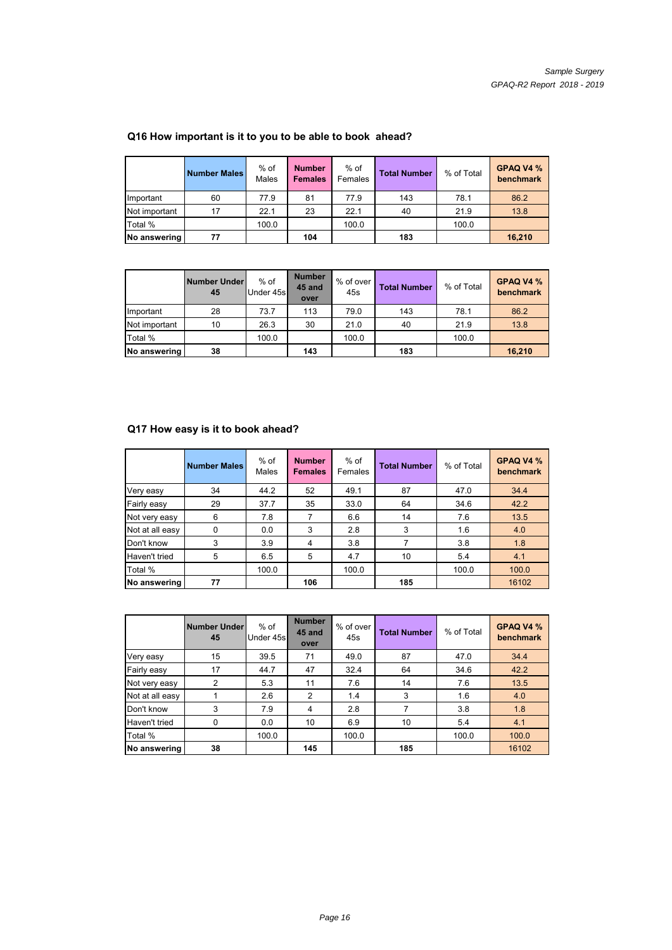|               | <b>Number Males</b> | $%$ of<br>Males | <b>Number</b><br><b>Females</b> | $%$ of<br>Females | <b>Total Number</b> | % of Total | GPAQ V4 %<br>benchmark |
|---------------|---------------------|-----------------|---------------------------------|-------------------|---------------------|------------|------------------------|
| Important     | 60                  | 77.9            | 81                              | 77.9              | 143                 | 78.1       | 86.2                   |
| Not important | 17                  | 22.1            | 23                              | 22.1              | 40                  | 21.9       | 13.8                   |
| Total %       |                     | 100.0           |                                 | 100.0             |                     | 100.0      |                        |
| No answering  | 77                  |                 | 104                             |                   | 183                 |            | 16,210                 |

## **Q16 How important is it to you to be able to book ahead?**

|               | <b>Number Under</b><br>45 | $%$ of<br>Under 45s | <b>Number</b><br>45 and<br>over | . % of over<br>45s | <b>Total Number</b> | % of Total | GPAQ V4 %<br>benchmark |
|---------------|---------------------------|---------------------|---------------------------------|--------------------|---------------------|------------|------------------------|
| Important     | 28                        | 73.7                | 113                             | 79.0               | 143                 | 78.1       | 86.2                   |
| Not important | 10                        | 26.3                | 30                              | 21.0               | 40                  | 21.9       | 13.8                   |
| Total %       |                           | 100.0               |                                 | 100.0              |                     | 100.0      |                        |
| No answering  | 38                        |                     | 143                             |                    | 183                 |            | 16,210                 |

#### **Q17 How easy is it to book ahead? Q17 How easy is it to book**

|                 | <b>Number Males</b> | $%$ of<br>Males | <b>Number</b><br><b>Females</b> | $%$ of<br>Females | <b>Total Number</b> | % of Total | GPAQ V4 %<br>benchmark |
|-----------------|---------------------|-----------------|---------------------------------|-------------------|---------------------|------------|------------------------|
| Very easy       | 34                  | 44.2            | 52                              | 49.1              | 87                  | 47.0       | 34.4                   |
| Fairly easy     | 29                  | 37.7            | 35                              | 33.0              | 64                  | 34.6       | 42.2                   |
| Not very easy   | 6                   | 7.8             |                                 | 6.6               | 14                  | 7.6        | 13.5                   |
| Not at all easy | $\Omega$            | 0.0             | 3                               | 2.8               | 3                   | 1.6        | 4.0                    |
| Don't know      | 3                   | 3.9             | 4                               | 3.8               |                     | 3.8        | 1.8                    |
| Haven't tried   | 5                   | 6.5             | 5                               | 4.7               | 10                  | 5.4        | 4.1                    |
| Total %         |                     | 100.0           |                                 | 100.0             |                     | 100.0      | 100.0                  |
| No answering    | 77                  |                 | 106                             |                   | 185                 |            | 16102                  |

|                 | <b>Number Under</b><br>45 | $%$ of<br>Under 45s | <b>Number</b><br>45 and<br>over | % of over<br>45s | <b>Total Number</b> | % of Total | GPAQ V4 %<br>benchmark |
|-----------------|---------------------------|---------------------|---------------------------------|------------------|---------------------|------------|------------------------|
| Very easy       | 15                        | 39.5                | 71                              | 49.0             | 87                  | 47.0       | 34.4                   |
| Fairly easy     | 17                        | 44.7                | 47                              | 32.4             | 64                  | 34.6       | 42.2                   |
| Not very easy   | 2                         | 5.3                 | 11                              | 7.6              | 14                  | 7.6        | 13.5                   |
| Not at all easy |                           | 2.6                 | 2                               | 1.4              | 3                   | 1.6        | 4.0                    |
| Don't know      | 3                         | 7.9                 | 4                               | 2.8              |                     | 3.8        | 1.8                    |
| Haven't tried   | $\Omega$                  | 0.0                 | 10                              | 6.9              | 10                  | 5.4        | 4.1                    |
| Total %         |                           | 100.0               |                                 | 100.0            |                     | 100.0      | 100.0                  |
| No answering    | 38                        |                     | 145                             |                  | 185                 |            | 16102                  |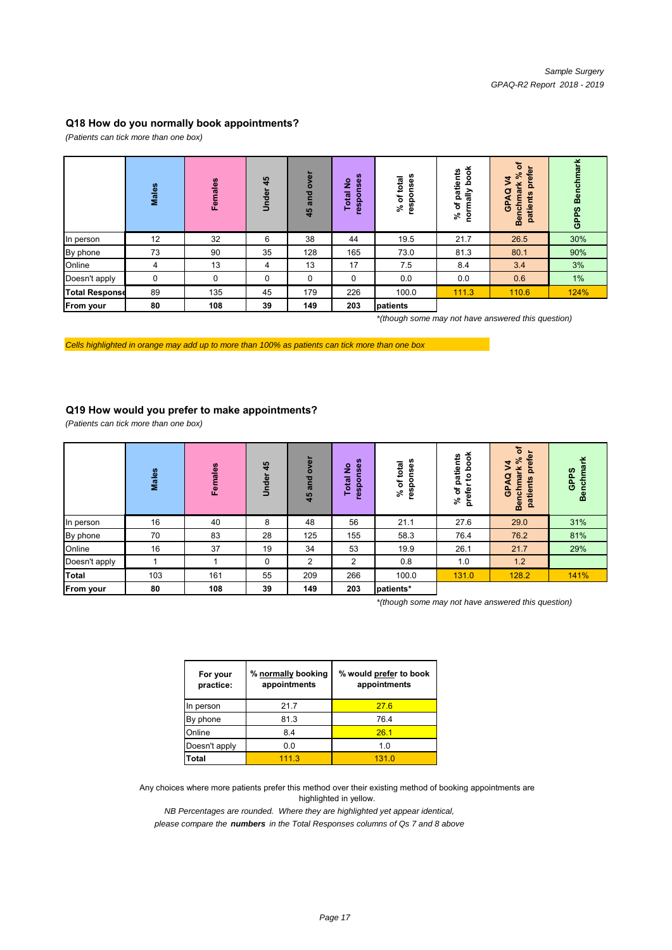#### **Q18 How do you normally book appointments?**

*(Patients can tick more than one box)*

|                       | Males | Females | 45<br>Under | over<br>and<br>45 | responses<br>ş<br>otal | onses<br>total<br>৳<br>resp<br>వి | book<br>patients<br>mally<br>$\overline{\mathbf{c}}$<br>వి<br>ē | ৳<br>prefer<br>వి<br>3<br><b>Benchmark</b><br>ø<br>patients<br>ન<br>န္ပ | <b>Benchmark</b><br>GPPS |
|-----------------------|-------|---------|-------------|-------------------|------------------------|-----------------------------------|-----------------------------------------------------------------|-------------------------------------------------------------------------|--------------------------|
| In person             | 12    | 32      | 6           | 38                | 44                     | 19.5                              | 21.7                                                            | 26.5                                                                    | 30%                      |
| By phone              | 73    | 90      | 35          | 128               | 165                    | 73.0                              | 81.3                                                            | 80.1                                                                    | 90%                      |
| Online                | 4     | 13      | 4           | 13                | 17                     | 7.5                               | 8.4                                                             | 3.4                                                                     | 3%                       |
| Doesn't apply         | 0     | 0       | 0           | 0                 | 0                      | 0.0                               | 0.0                                                             | 0.6                                                                     | 1%                       |
| <b>Total Response</b> | 89    | 135     | 45          | 179               | 226                    | 100.0                             | 111.3                                                           | 110.6                                                                   | 124%                     |
| From your             | 80    | 108     | 39          | 149               | 203                    | patients                          |                                                                 |                                                                         |                          |

*\*(though some may not have answered this question)*

*Cells highlighted in orange may add up to more than 100% as patients can tick more than one box*

#### **Q19 How would you prefer to make appointments?**

*(Patients can tick more than one box)*

|               | Males | Females | 45<br>nder<br>5 | over<br>and<br>45 | responses<br>ş<br>otal<br>⊢ | Ses<br>total<br>۰<br>৳<br>resp<br>ని | book<br>patients<br>ೆ<br>$\overline{\mathbf{c}}$<br>prefer<br>వి | đ<br>prefer<br>వి<br>\$<br><b>Benchmark</b><br>a<br>patients<br>ď<br>မြ | ¥<br><b>Benchma</b><br>GPPS |
|---------------|-------|---------|-----------------|-------------------|-----------------------------|--------------------------------------|------------------------------------------------------------------|-------------------------------------------------------------------------|-----------------------------|
| In person     | 16    | 40      | 8               | 48                | 56                          | 21.1                                 | 27.6                                                             | 29.0                                                                    | 31%                         |
| By phone      | 70    | 83      | 28              | 125               | 155                         | 58.3                                 | 76.4                                                             | 76.2                                                                    | 81%                         |
| Online        | 16    | 37      | 19              | 34                | 53                          | 19.9                                 | 26.1                                                             | 21.7                                                                    | 29%                         |
| Doesn't apply |       |         | 0               | 2                 | 2                           | 0.8                                  | 1.0                                                              | 1.2                                                                     |                             |
| <b>Total</b>  | 103   | 161     | 55              | 209               | 266                         | 100.0                                | 131.0                                                            | 128.2                                                                   | 141%                        |
| From your     | 80    | 108     | 39              | 149               | 203                         | patients*                            |                                                                  |                                                                         |                             |

*\*(though some may not have answered this question)*

| For your<br>practice: | % normally booking<br>appointments | % would prefer to book<br>appointments |
|-----------------------|------------------------------------|----------------------------------------|
| In person             | 21.7                               | 27.6                                   |
| By phone              | 81.3                               | 76.4                                   |
| Online                | 8.4                                | 26.1                                   |
| Doesn't apply         | 0.0                                | 1.0                                    |
| Total                 | 111.3                              | 1310                                   |

Any choices where more patients prefer this method over their existing method of booking appointments are highlighted in yellow.

*NB Percentages are rounded. Where they are highlighted yet appear identical,*

*please compare the numbers in the Total Responses columns of Qs 7 and 8 above*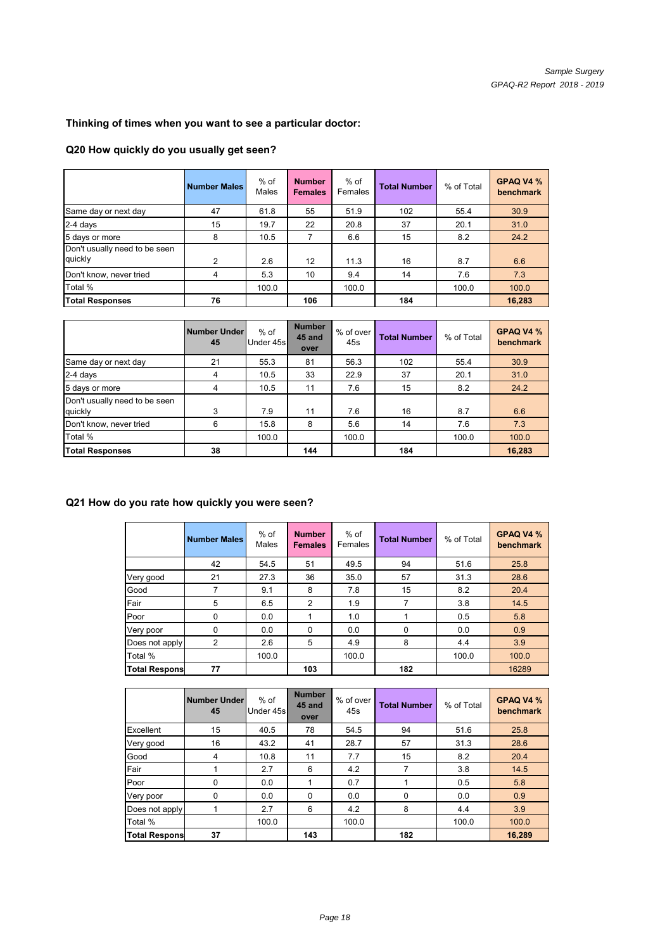# **Thinking of times when you want to see a particular doctor:**

#### **Q20 How quickly do you usually get seen?**

|                                          | <b>Number Males</b> | % of<br>Males | <b>Number</b><br><b>Females</b> | % of<br>Females | <b>Total Number</b> | % of Total | GPAQ V4 %<br>benchmark |
|------------------------------------------|---------------------|---------------|---------------------------------|-----------------|---------------------|------------|------------------------|
| Same day or next day                     | 47                  | 61.8          | 55                              | 51.9            | 102                 | 55.4       | 30.9                   |
| 2-4 days                                 | 15                  | 19.7          | 22                              | 20.8            | 37                  | 20.1       | 31.0                   |
| 5 days or more                           | 8                   | 10.5          |                                 | 6.6             | 15                  | 8.2        | 24.2                   |
| Don't usually need to be seen<br>quickly | $\mathfrak{p}$      | 2.6           | $12 \overline{ }$               | 11.3            | 16                  | 8.7        | 6.6                    |
| Don't know, never tried                  | 4                   | 5.3           | 10                              | 9.4             | 14                  | 7.6        | 7.3                    |
| Total %                                  |                     | 100.0         |                                 | 100.0           |                     | 100.0      | 100.0                  |
| <b>Total Responses</b>                   | 76                  |               | 106                             |                 | 184                 |            | 16,283                 |

|                                          | Number Under<br>45 | $%$ of<br>Under 45s | <b>Number</b><br>45 and<br>over | % of over<br>45s | <b>Total Number</b> | % of Total | GPAQ V4 %<br>benchmark |
|------------------------------------------|--------------------|---------------------|---------------------------------|------------------|---------------------|------------|------------------------|
| Same day or next day                     | 21                 | 55.3                | 81                              | 56.3             | 102                 | 55.4       | 30.9                   |
| $2-4$ days                               | 4                  | 10.5                | 33                              | 22.9             | 37                  | 20.1       | 31.0                   |
| 5 days or more                           | 4                  | 10.5                | 11                              | 7.6              | 15                  | 8.2        | 24.2                   |
| Don't usually need to be seen<br>quickly | 3                  | 7.9                 | 11                              | 7.6              | 16                  | 8.7        | 6.6                    |
| Don't know, never tried                  | 6                  | 15.8                | 8                               | 5.6              | 14                  | 7.6        | 7.3                    |
| Total %                                  |                    | 100.0               |                                 | 100.0            |                     | 100.0      | 100.0                  |
| <b>Total Responses</b>                   | 38                 |                     | 144                             |                  | 184                 |            | 16,283                 |

## **Q21 How do you rate how quickly you were seen?**

|                      | <b>Number Males</b> | $%$ of<br>Males | <b>Number</b><br><b>Females</b> | $%$ of<br>Females | <b>Total Number</b> | % of Total | GPAQ V4 %<br>benchmark |
|----------------------|---------------------|-----------------|---------------------------------|-------------------|---------------------|------------|------------------------|
|                      | 42                  | 54.5            | 51                              | 49.5              | 94                  | 51.6       | 25.8                   |
| Very good            | 21                  | 27.3            | 36                              | 35.0              | 57                  | 31.3       | 28.6                   |
| Good                 | 7                   | 9.1             | 8                               | 7.8               | 15                  | 8.2        | 20.4                   |
| Fair                 | 5                   | 6.5             | 2                               | 1.9               | 7                   | 3.8        | 14.5                   |
| Poor                 | 0                   | 0.0             |                                 | 1.0               |                     | 0.5        | 5.8                    |
| Very poor            | 0                   | 0.0             | $\Omega$                        | 0.0               | $\Omega$            | 0.0        | 0.9                    |
| Does not apply       | 2                   | 2.6             | 5                               | 4.9               | 8                   | 4.4        | 3.9                    |
| Total %              |                     | 100.0           |                                 | 100.0             |                     | 100.0      | 100.0                  |
| <b>Total Respons</b> | 77                  |                 | 103                             |                   | 182                 |            | 16289                  |

|                      | <b>Number Under</b><br>45 | $%$ of<br>Under 45s | <b>Number</b><br>45 and<br>over | % of over<br>45s | <b>Total Number</b> | % of Total | GPAQ V4 %<br>benchmark |
|----------------------|---------------------------|---------------------|---------------------------------|------------------|---------------------|------------|------------------------|
| Excellent            | 15                        | 40.5                | 78                              | 54.5             | 94                  | 51.6       | 25.8                   |
| Very good            | 16                        | 43.2                | 41                              | 28.7             | 57                  | 31.3       | 28.6                   |
| Good                 | 4                         | 10.8                | 11                              | 7.7              | 15                  | 8.2        | 20.4                   |
| Fair                 |                           | 2.7                 | 6                               | 4.2              |                     | 3.8        | 14.5                   |
| Poor                 | 0                         | 0.0                 |                                 | 0.7              |                     | 0.5        | 5.8                    |
| Very poor            | 0                         | 0.0                 | 0                               | 0.0              | 0                   | 0.0        | 0.9                    |
| Does not apply       |                           | 2.7                 | 6                               | 4.2              | 8                   | 4.4        | 3.9                    |
| Total %              |                           | 100.0               |                                 | 100.0            |                     | 100.0      | 100.0                  |
| <b>Total Respons</b> | 37                        |                     | 143                             |                  | 182                 |            | 16,289                 |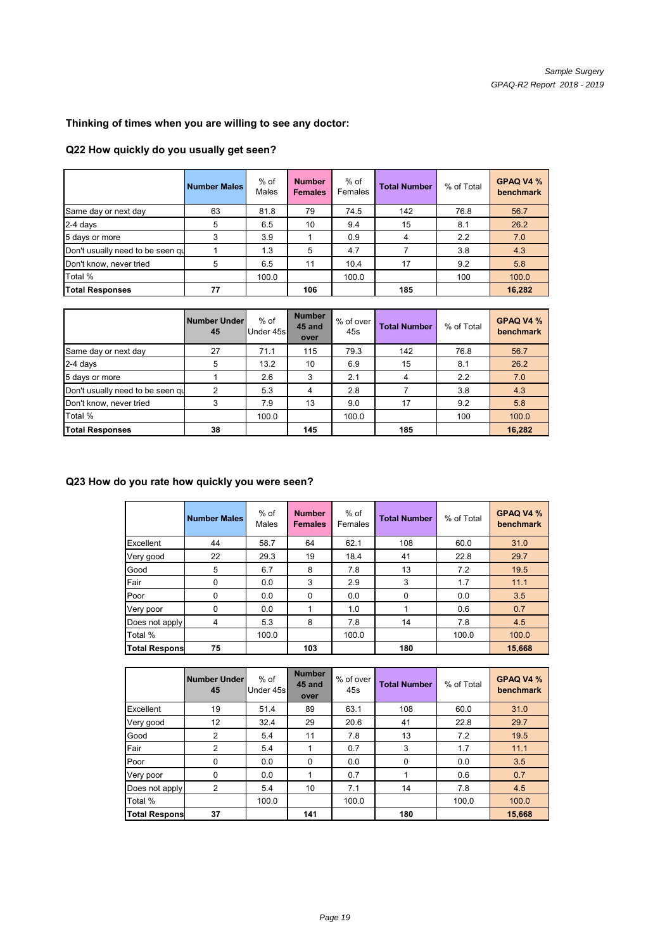# **Thinking of times when you are willing to see any doctor:**

## **Q22 How quickly do you usually get seen?**

|                                  | <b>Number Males</b> | $%$ of<br>Males | <b>Number</b><br><b>Females</b> | $%$ of<br>Females | <b>Total Number</b> | % of Total | GPAQ V4 %<br>benchmark |
|----------------------------------|---------------------|-----------------|---------------------------------|-------------------|---------------------|------------|------------------------|
| Same day or next day             | 63                  | 81.8            | 79                              | 74.5              | 142                 | 76.8       | 56.7                   |
| 2-4 days                         | 5                   | 6.5             | 10                              | 9.4               | 15                  | 8.1        | 26.2                   |
| 5 days or more                   |                     | 3.9             |                                 | 0.9               | 4                   | 2.2        | 7.0                    |
| Don't usually need to be seen qu |                     | 1.3             | 5                               | 4.7               |                     | 3.8        | 4.3                    |
| Don't know, never tried          | 5                   | 6.5             | 11                              | 10.4              | 17                  | 9.2        | 5.8                    |
| Total %                          |                     | 100.0           |                                 | 100.0             |                     | 100        | 100.0                  |
| <b>Total Responses</b>           | 77                  |                 | 106                             |                   | 185                 |            | 16,282                 |

|                                  | Number Under<br>45 | $%$ of<br>Under 45s | <b>Number</b><br>45 and<br>over | % of over<br>45s | <b>Total Number</b> | % of Total | GPAQ V4 %<br>benchmark |
|----------------------------------|--------------------|---------------------|---------------------------------|------------------|---------------------|------------|------------------------|
| Same day or next day             | 27                 | 71.1                | 115                             | 79.3             | 142                 | 76.8       | 56.7                   |
| 2-4 days                         | 5                  | 13.2                | 10                              | 6.9              | 15                  | 8.1        | 26.2                   |
| 5 days or more                   |                    | 2.6                 | 3                               | 2.1              | 4                   | 2.2        | 7.0                    |
| Don't usually need to be seen qu | າ                  | 5.3                 | 4                               | 2.8              |                     | 3.8        | 4.3                    |
| Don't know, never tried          |                    | 7.9                 | 13                              | 9.0              | 17                  | 9.2        | 5.8                    |
| Total %                          |                    | 100.0               |                                 | 100.0            |                     | 100        | 100.0                  |
| <b>Total Responses</b>           | 38                 |                     | 145                             |                  | 185                 |            | 16,282                 |

## **16,282Q23 How do you rate how quickly you were seen?**

|                       | <b>Number Males</b> | $%$ of<br>Males | <b>Number</b><br><b>Females</b> | $%$ of<br>Females | <b>Total Number</b> | % of Total | GPAQ V4 %<br>benchmark |
|-----------------------|---------------------|-----------------|---------------------------------|-------------------|---------------------|------------|------------------------|
| Excellent             | 44                  | 58.7            | 64                              | 62.1              | 108                 | 60.0       | 31.0                   |
| Very good             | 22                  | 29.3            | 19                              | 18.4              | 41                  | 22.8       | 29.7                   |
| Good                  | 5                   | 6.7             | 8                               | 7.8               | 13                  | 7.2        | 19.5                   |
| Fair                  | 0                   | 0.0             | 3                               | 2.9               | 3                   | 1.7        | 11.1                   |
| Poor                  | 0                   | 0.0             | $\Omega$                        | 0.0               | $\Omega$            | 0.0        | 3.5                    |
| Very poor             | 0                   | 0.0             |                                 | 1.0               |                     | 0.6        | 0.7                    |
| Does not apply        | 4                   | 5.3             | 8                               | 7.8               | 14                  | 7.8        | 4.5                    |
| Total %               |                     | 100.0           |                                 | 100.0             |                     | 100.0      | 100.0                  |
| <b>Total Responsi</b> | 75                  |                 | 103                             |                   | 180                 |            | 15,668                 |

|                      | Number Under<br>45 | $%$ of<br>Under 45s | <b>Number</b><br>45 and<br>over | % of over<br>45s | <b>Total Number</b> | % of Total | GPAQ V4 %<br>benchmark |
|----------------------|--------------------|---------------------|---------------------------------|------------------|---------------------|------------|------------------------|
| Excellent            | 19                 | 51.4                | 89                              | 63.1             | 108                 | 60.0       | 31.0                   |
| Very good            | 12 <sup>2</sup>    | 32.4                | 29                              | 20.6             | 41                  | 22.8       | 29.7                   |
| Good                 | 2                  | 5.4                 | 11                              | 7.8              | 13                  | 7.2        | 19.5                   |
| Fair                 | 2                  | 5.4                 |                                 | 0.7              | 3                   | 1.7        | 11.1                   |
| Poor                 | 0                  | 0.0                 | 0                               | 0.0              | $\Omega$            | 0.0        | 3.5                    |
| Very poor            | 0                  | 0.0                 |                                 | 0.7              |                     | 0.6        | 0.7                    |
| Does not apply       | 2                  | 5.4                 | 10                              | 7.1              | 14                  | 7.8        | 4.5                    |
| Total %              |                    | 100.0               |                                 | 100.0            |                     | 100.0      | 100.0                  |
| <b>Total Respons</b> | 37                 |                     | 141                             |                  | 180                 |            | 15,668                 |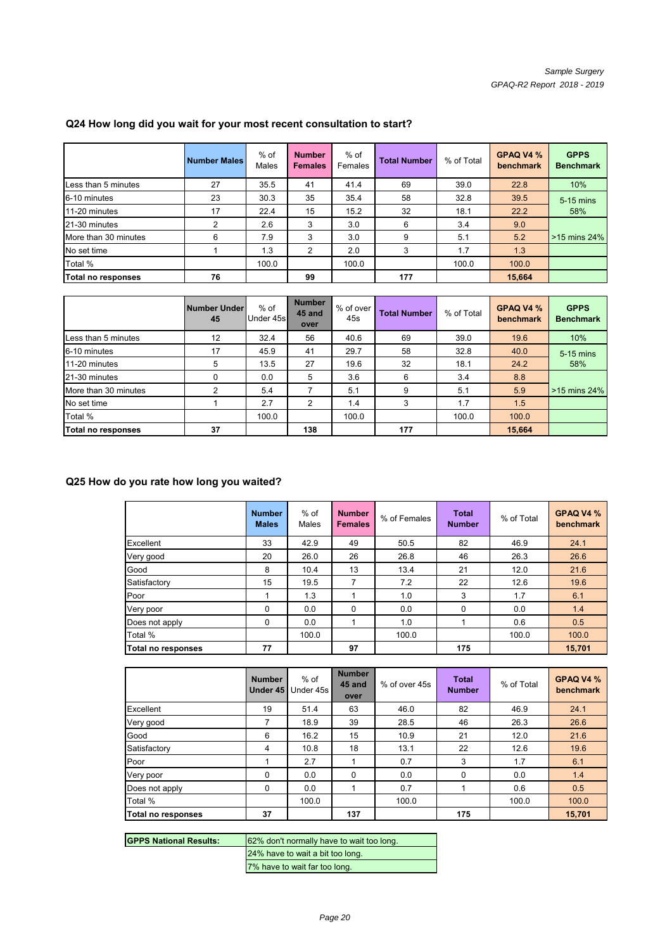|                      | <b>Number Males</b> | $%$ of<br>Males | <b>Number</b><br><b>Females</b> | $%$ of<br>Females | <b>Total Number</b> | % of Total | GPAQ V4 %<br>benchmark | <b>GPPS</b><br><b>Benchmark</b> |
|----------------------|---------------------|-----------------|---------------------------------|-------------------|---------------------|------------|------------------------|---------------------------------|
| Less than 5 minutes  | 27                  | 35.5            | 41                              | 41.4              | 69                  | 39.0       | 22.8                   | 10%                             |
| 6-10 minutes         | 23                  | 30.3            | 35                              | 35.4              | 58                  | 32.8       | 39.5                   | 5-15 mins                       |
| 11-20 minutes        | 17                  | 22.4            | 15                              | 15.2              | 32                  | 18.1       | 22.2                   | 58%                             |
| 21-30 minutes        | 2                   | 2.6             | 3                               | 3.0               | 6                   | 3.4        | 9.0                    |                                 |
| More than 30 minutes | 6                   | 7.9             | 3                               | 3.0               | 9                   | 5.1        | 5.2                    | >15 mins 24%                    |
| No set time          |                     | 1.3             | 2                               | 2.0               | 3                   | 1.7        | 1.3                    |                                 |
| Total %              |                     | 100.0           |                                 | 100.0             |                     | 100.0      | 100.0                  |                                 |
| Total no responses   | 76                  |                 | 99                              |                   | 177                 |            | 15,664                 |                                 |

## **Q24 How long did you wait for your most recent consultation to start?**

|                                          | Number Under<br>45 | $%$ of<br>Under 45s | <b>Number</b><br>45 and<br>over | $%$ of over<br>45s | <b>Total Number</b> | % of Total | GPAQ V4 %<br>benchmark | <b>GPPS</b><br><b>Benchmark</b> |
|------------------------------------------|--------------------|---------------------|---------------------------------|--------------------|---------------------|------------|------------------------|---------------------------------|
| Less than 5 minutes                      | 12                 | 32.4                | 56                              | 40.6               | 69                  | 39.0       | 19.6                   | 10%                             |
| 6-10 minutes                             | 17                 | 45.9                | 41                              | 29.7               | 58                  | 32.8       | 40.0                   | 5-15 mins                       |
| 11-20 minutes                            | 5                  | 13.5                | 27                              | 19.6               | 32                  | 18.1       | 24.2                   | 58%                             |
| 21-30 minutes                            | 0                  | 0.0                 | 5                               | 3.6                | 6                   | 3.4        | 8.8                    |                                 |
| More than 30 minutes                     | 2                  | 5.4                 | 7                               | 5.1                | 9                   | 5.1        | 5.9                    | $>15$ mins 24%                  |
| No set time                              |                    | 2.7                 | $\overline{2}$                  | 1.4                | 3                   | 1.7        | 1.5                    |                                 |
| Total %                                  |                    | 100.0               |                                 | 100.0              |                     | 100.0      | 100.0                  |                                 |
| Total no responses                       | 37                 |                     | 138                             |                    | 177                 |            | 15,664                 |                                 |
| Q25 How do you rate how long you waited? |                    |                     |                                 |                    |                     |            |                        |                                 |

|                    | <b>Number</b><br><b>Males</b> | $%$ of<br>Males | <b>Number</b><br><b>Females</b> | % of Females | <b>Total</b><br><b>Number</b> | % of Total | GPAQ V4 %<br>benchmark |
|--------------------|-------------------------------|-----------------|---------------------------------|--------------|-------------------------------|------------|------------------------|
| Excellent          | 33                            | 42.9            | 49                              | 50.5         | 82                            | 46.9       | 24.1                   |
| Very good          | 20                            | 26.0            | 26                              | 26.8         | 46                            | 26.3       | 26.6                   |
| Good               | 8                             | 10.4            | 13                              | 13.4         | 21                            | 12.0       | 21.6                   |
| Satisfactory       | 15                            | 19.5            | 7                               | 7.2          | 22                            | 12.6       | 19.6                   |
| Poor               |                               | 1.3             |                                 | 1.0          | 3                             | 1.7        | 6.1                    |
| Very poor          | 0                             | 0.0             | 0                               | 0.0          | 0                             | 0.0        | 1.4                    |
| Does not apply     | 0                             | 0.0             |                                 | 1.0          |                               | 0.6        | 0.5                    |
| Total %            |                               | 100.0           |                                 | 100.0        |                               | 100.0      | 100.0                  |
| Total no responses | 77                            |                 | 97                              |              | 175                           |            | 15,701                 |

|                           | <b>Number</b><br>Under 45 | $%$ of<br>Under 45s | <b>Number</b><br>45 and<br>over | % of over 45s | <b>Total</b><br><b>Number</b> | % of Total | GPAQ V4 %<br>benchmark |
|---------------------------|---------------------------|---------------------|---------------------------------|---------------|-------------------------------|------------|------------------------|
| Excellent                 | 19                        | 51.4                | 63                              | 46.0          | 82                            | 46.9       | 24.1                   |
| Very good                 | 7                         | 18.9                | 39                              | 28.5          | 46                            | 26.3       | 26.6                   |
| Good                      | 6                         | 16.2                | 15                              | 10.9          | 21                            | 12.0       | 21.6                   |
| Satisfactory              | 4                         | 10.8                | 18                              | 13.1          | 22                            | 12.6       | 19.6                   |
| Poor                      |                           | 2.7                 |                                 | 0.7           | 3                             | 1.7        | 6.1                    |
| Very poor                 | 0                         | 0.0                 | $\Omega$                        | 0.0           | 0                             | 0.0        | 1.4                    |
| Does not apply            | $\Omega$                  | 0.0                 |                                 | 0.7           |                               | 0.6        | 0.5                    |
| Total %                   |                           | 100.0               |                                 | 100.0         |                               | 100.0      | 100.0                  |
| <b>Total no responses</b> | 37                        |                     | 137                             |               | 175                           |            | 15,701                 |

| <b>IGPPS National Results:</b> | 62% don't normally have to wait too long. |
|--------------------------------|-------------------------------------------|
|                                | 24% have to wait a bit too long.          |
|                                | 7% have to wait far too long.             |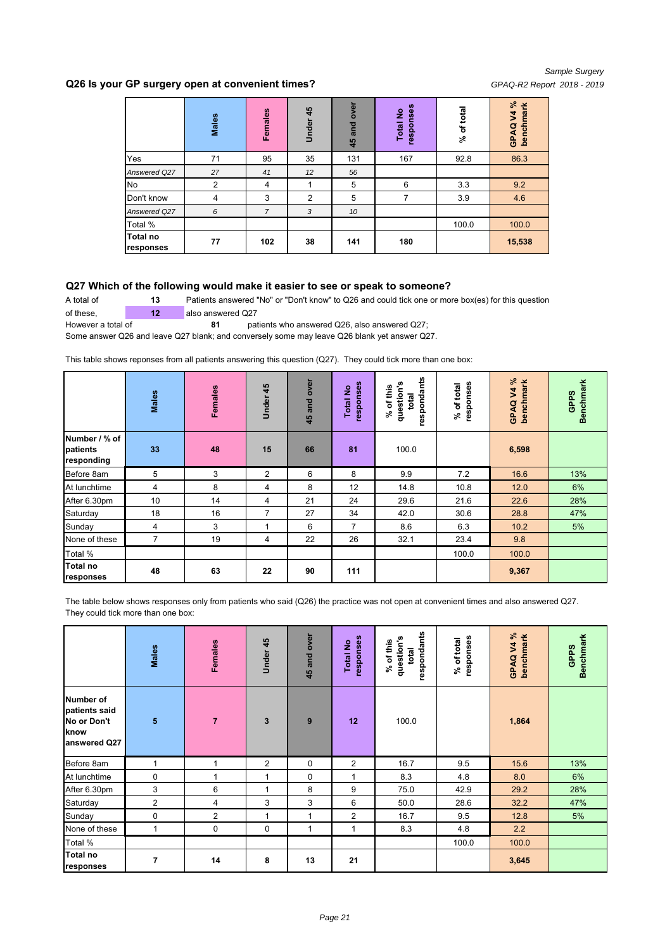#### **Q26 Is your GP surgery open at convenient times?** *GPAQ-R2 Report 2018 - 2019*

|                              | Males          | Females        | Under 45 | over<br>and<br>45 | responses<br><b>Total No</b> | of total<br>వి | GPAQ V4%<br>benchmark |
|------------------------------|----------------|----------------|----------|-------------------|------------------------------|----------------|-----------------------|
| Yes                          | 71             | 95             | 35       | 131               | 167                          | 92.8           | 86.3                  |
| Answered Q27                 | 27             | 41             | 12       | 56                |                              |                |                       |
| No                           | $\overline{2}$ | $\overline{4}$ | 1        | 5                 | 6                            | 3.3            | 9.2                   |
| Don't know                   | 4              | 3              | 2        | 5                 | 7                            | 3.9            | 4.6                   |
| Answered Q27                 | 6              | $\overline{7}$ | 3        | 10                |                              |                |                       |
| Total %                      |                |                |          |                   |                              | 100.0          | 100.0                 |
| <b>Total no</b><br>responses | 77             | 102            | 38       | 141               | 180                          |                | 15,538                |

#### **Q27 Which of the following would make it easier to see or speak to someone?**

A total of **13** Patients answered "No" or "Don't know" to Q26 and could tick one or more box(es) for this question of these, **12** also answered Q27

However a total of **81 81** patients who answered Q26, also answered Q27;

Some answer Q26 and leave Q27 blank; and conversely some may leave Q26 blank yet answer Q27.

This table shows reponses from all patients answering this question (Q27). They could tick more than one box:

|                                         | Males          | Females | 45<br>Under    | over<br>and<br>45 | responses<br><u>و</u><br>Total | respondants<br>question's<br>of this<br>total<br>వి | responses<br>of total<br>న్ | GPAQ V4 %<br>benchmark | <b>Benchmark</b><br><b>GPPS</b> |
|-----------------------------------------|----------------|---------|----------------|-------------------|--------------------------------|-----------------------------------------------------|-----------------------------|------------------------|---------------------------------|
| Number / % of<br>patients<br>responding | 33             | 48      | 15             | 66                | 81                             | 100.0                                               |                             | 6,598                  |                                 |
| Before 8am                              | 5              | 3       | $\overline{2}$ | 6                 | 8                              | 9.9                                                 | 7.2                         | 16.6                   | 13%                             |
| At lunchtime                            | 4              | 8       | 4              | 8                 | 12                             | 14.8                                                | 10.8                        | 12.0                   | 6%                              |
| After 6.30pm                            | 10             | 14      | 4              | 21                | 24                             | 29.6                                                | 21.6                        | 22.6                   | 28%                             |
| Saturday                                | 18             | 16      | 7              | 27                | 34                             | 42.0                                                | 30.6                        | 28.8                   | 47%                             |
| Sunday                                  | 4              | 3       |                | 6                 | $\overline{7}$                 | 8.6                                                 | 6.3                         | 10.2                   | 5%                              |
| None of these                           | $\overline{7}$ | 19      | 4              | 22                | 26                             | 32.1                                                | 23.4                        | 9.8                    |                                 |
| Total %                                 |                |         |                |                   |                                |                                                     | 100.0                       | 100.0                  |                                 |
| <b>Total no</b><br>responses            | 48             | 63      | 22             | 90                | 111                            |                                                     |                             | 9,367                  |                                 |

The table below shows responses only from patients who said (Q26) the practice was not open at convenient times and also answered Q27. They could tick more than one box:

|                                                                          | Males                   | <b>Females</b> | Under 45     | 45 and over | responses<br><b>Total No</b> | respondants<br>question's<br>% of this<br>total | responses<br>% of total | GPAQV4%<br>benchmark | <b>Benchmark</b><br><b>GPPS</b> |
|--------------------------------------------------------------------------|-------------------------|----------------|--------------|-------------|------------------------------|-------------------------------------------------|-------------------------|----------------------|---------------------------------|
| <b>Number of</b><br>patients said<br>No or Don't<br>know<br>answered Q27 | $\overline{\mathbf{5}}$ | $\overline{7}$ | $\mathbf{3}$ | 9           | 12                           | 100.0                                           |                         | 1,864                |                                 |
| Before 8am                                                               | 1                       | 1              | 2            | 0           | $\overline{2}$               | 16.7                                            | 9.5                     | 15.6                 | 13%                             |
| At lunchtime                                                             | 0                       | 1              | 1            | $\mathbf 0$ | $\mathbf{1}$                 | 8.3                                             | 4.8                     | 8.0                  | 6%                              |
| After 6.30pm                                                             | 3                       | 6              | 1            | 8           | 9                            | 75.0                                            | 42.9                    | 29.2                 | 28%                             |
| Saturday                                                                 | $\overline{2}$          | 4              | 3            | 3           | 6                            | 50.0                                            | 28.6                    | 32.2                 | 47%                             |
| Sunday                                                                   | 0                       | 2              | 1            | 1           | 2                            | 16.7                                            | 9.5                     | 12.8                 | 5%                              |
| None of these                                                            | $\mathbf{1}$            | 0              | 0            | 1           | 1                            | 8.3                                             | 4.8                     | 2.2                  |                                 |
| Total %                                                                  |                         |                |              |             |                              |                                                 | 100.0                   | 100.0                |                                 |
| <b>Total no</b><br>responses                                             | 7                       | 14             | 8            | 13          | 21                           |                                                 |                         | 3,645                |                                 |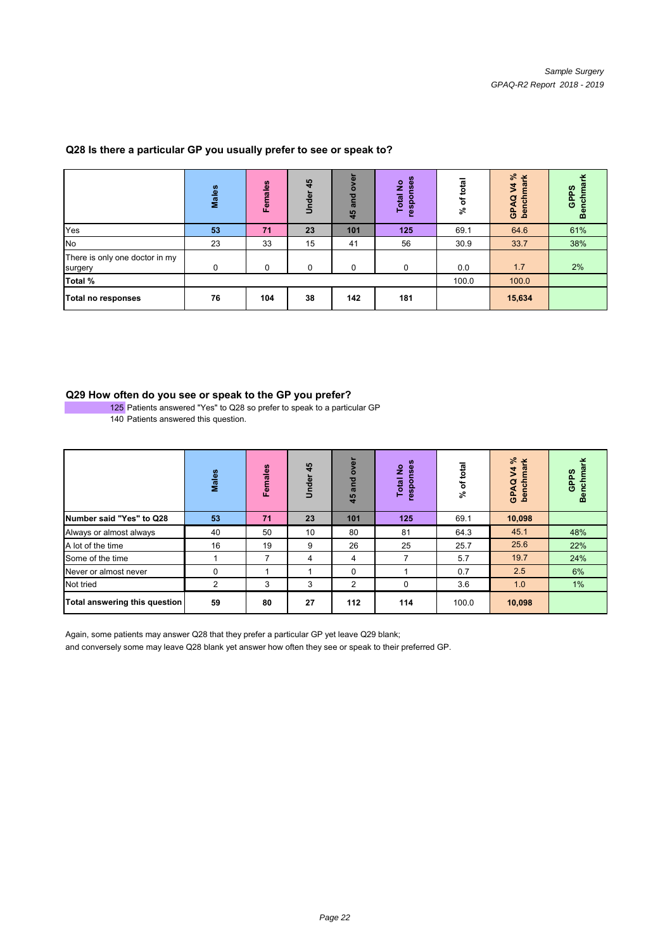|                                           | Males    | <b>Females</b> | 45<br>Under | over<br>and<br>45 | ္မိ<br>ş<br>Ŵ,<br><b>Total</b><br>respo | total<br>৳<br>వి | $\approx$<br>폰<br>$\vec{z}$<br>$\overline{\mathbf{a}}$<br>ε<br>GPAQ<br>bench | GPPS<br>Ξ<br>흗<br>န္တ |
|-------------------------------------------|----------|----------------|-------------|-------------------|-----------------------------------------|------------------|------------------------------------------------------------------------------|-----------------------|
| Yes                                       | 53       | 71             | 23          | 101               | 125                                     | 69.1             | 64.6                                                                         | 61%                   |
| No                                        | 23       | 33             | 15          | 41                | 56                                      | 30.9             | 33.7                                                                         | 38%                   |
| There is only one doctor in my<br>surgery | $\Omega$ | $\Omega$       | $\Omega$    | $\Omega$          | $\Omega$                                | 0.0              | 1.7                                                                          | 2%                    |
| Total %                                   |          |                |             |                   |                                         | 100.0            | 100.0                                                                        |                       |
| Total no responses                        | 76       | 104            | 38          | 142               | 181                                     |                  | 15,634                                                                       |                       |

## **Q28 Is there a particular GP you usually prefer to see or speak to?**

#### **Q29 How often do you see or speak to the GP you prefer?**

<sup>125</sup> Patients answered "Yes" to Q28 so prefer to speak to a particular GP 140 Patients answered this question.

|                               | <b>Males</b> | Females | 45<br>nder<br>5 | over<br>and<br>45 | 8<br>ş<br>ğ<br><b>Total</b><br>respor | total<br>৳<br>వి | వి<br>폰<br>GPAQ V4<br>benchma | nchma<br>GPPS<br>ā |
|-------------------------------|--------------|---------|-----------------|-------------------|---------------------------------------|------------------|-------------------------------|--------------------|
| Number said "Yes" to Q28      | 53           | 71      | 23              | 101               | 125                                   | 69.1             | 10,098                        |                    |
| Always or almost always       | 40           | 50      | 10              | 80                | 81                                    | 64.3             | 45.1                          | 48%                |
| A lot of the time             | 16           | 19      | 9               | 26                | 25                                    | 25.7             | 25.6                          | 22%                |
| Some of the time              |              | 7       | 4               | 4                 | 7                                     | 5.7              | 19.7                          | 24%                |
| Never or almost never         | 0            |         |                 | 0                 |                                       | 0.7              | 2.5                           | 6%                 |
| Not tried                     | 2            | 3       | 3               | 2                 | 0                                     | 3.6              | 1.0                           | 1%                 |
| Total answering this question | 59           | 80      | 27              | 112               | 114                                   | 100.0            | 10,098                        |                    |

Again, some patients may answer Q28 that they prefer a particular GP yet leave Q29 blank;

and conversely some may leave Q28 blank yet answer how often they see or speak to their preferred GP.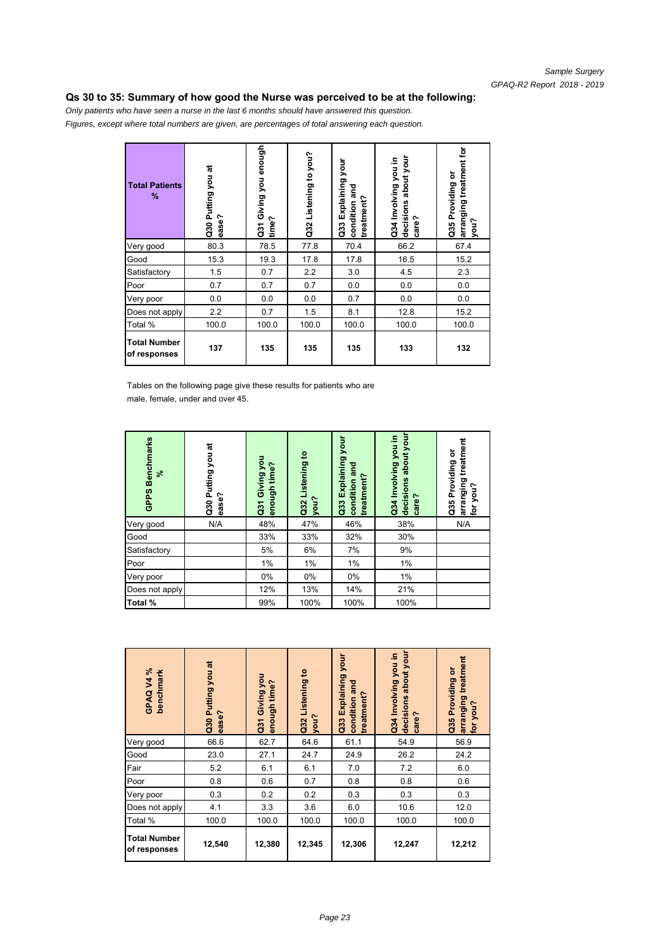#### **Qs 30 to 35: Summary of how good the Nurse was perceived to be at the following:**

*Only patients who have seen a nurse in the last 6 months should have answered this question. Figures, except where total numbers are given, are percentages of total answering each question.*

| <b>Total Patients</b><br>%          | Putting you at<br>ease?<br>$\overline{a}$ | Giving you enough<br>Cast G<br>time? | Listening to you?<br>Q32 | your<br>Explaining<br>and<br>treatment?<br>condition<br>$\ddot{a}$ | decisions about your<br>Q34 Involving you in<br>care? | arranging treatment for<br>Providing or<br>you?<br>Q35 |
|-------------------------------------|-------------------------------------------|--------------------------------------|--------------------------|--------------------------------------------------------------------|-------------------------------------------------------|--------------------------------------------------------|
| Very good                           | 80.3                                      | 78.5                                 | 77.8                     | 70.4                                                               | 66.2                                                  | 67.4                                                   |
| Good                                | 15.3                                      | 19.3                                 | 17.8                     | 17.8                                                               | 16.5                                                  | 15.2                                                   |
| Satisfactory                        | 1.5                                       | 0.7                                  | 2.2                      | 3.0                                                                | 4.5                                                   | 2.3                                                    |
| Poor                                | 0.7                                       | 0.7                                  | 0.7                      | 0.0                                                                | 0.0                                                   | 0.0                                                    |
| Very poor                           | 0.0                                       | 0.0                                  | 0.0                      | 0.7                                                                | 0.0                                                   | 0.0                                                    |
| Does not apply                      | 2.2                                       | 0.7                                  | 1.5                      | 8.1                                                                | 12.8                                                  | 15.2                                                   |
| Total %                             | 100.0                                     | 100.0                                | 100.0                    | 100.0                                                              | 100.0                                                 | 100.0                                                  |
| <b>Total Number</b><br>of responses | 137                                       | 135                                  | 135                      | 135                                                                | 133                                                   | 132                                                    |

Tables on the following page give these results for patients who are male, female, under and over 45.

| <b>Benchmarks</b><br>వి<br><b>GPPS</b> | ಸ<br>you<br><b>Putting</b><br>ease?<br>$\overline{a}$ | Giving you<br>?enough time<br>$\overline{a}$ | $\mathbf{c}$<br>Q32 Listening<br>you? | your<br>Explaining<br>and<br>treatment?<br>condition<br>Q33 | about your<br>Q34 Involving you in<br>decisions<br>care? | treatment<br>৯<br>Providing<br>arranging<br>for you?<br>you?<br>G35 |
|----------------------------------------|-------------------------------------------------------|----------------------------------------------|---------------------------------------|-------------------------------------------------------------|----------------------------------------------------------|---------------------------------------------------------------------|
| Very good                              | N/A                                                   | 48%                                          | 47%                                   | 46%                                                         | 38%                                                      | N/A                                                                 |
| Good                                   |                                                       | 33%                                          | 33%                                   | 32%                                                         | 30%                                                      |                                                                     |
| Satisfactory                           |                                                       | 5%                                           | 6%                                    | 7%                                                          | 9%                                                       |                                                                     |
| Poor                                   |                                                       | 1%                                           | 1%                                    | 1%                                                          | 1%                                                       |                                                                     |
| Very poor                              |                                                       | $0\%$                                        | 0%                                    | 0%                                                          | 1%                                                       |                                                                     |
| Does not apply                         |                                                       | 12%                                          | 13%                                   | 14%                                                         | 21%                                                      |                                                                     |
| Total %                                |                                                       | 99%                                          | 100%                                  | 100%                                                        | 100%                                                     |                                                                     |

| GPAQV4%<br>benchmark                | Q30 Putting you at<br>ease? | Q31 Giving you<br>?enough time | Q32 Listening to<br>you? | your<br>Q33 Explaining<br>and<br>treatment?<br>condition | decisions about your<br>Q34 Involving you in<br>care? | treatment<br>ŏ<br>Q35 Providing<br>arranging<br>for you? |
|-------------------------------------|-----------------------------|--------------------------------|--------------------------|----------------------------------------------------------|-------------------------------------------------------|----------------------------------------------------------|
| Very good                           | 66.6                        | 62.7                           | 64.6                     | 61.1                                                     | 54.9                                                  | 56.9                                                     |
| Good                                | 23.0                        | 27.1                           | 24.7                     | 24.9                                                     | 26.2                                                  | 24.2                                                     |
| Fair                                | 5.2                         | 6.1                            | 6.1                      | 7.0                                                      | 7.2                                                   | 6.0                                                      |
| Poor                                | 0.8                         | 0.6                            | 0.7                      | 0.8                                                      | 0.8                                                   | 0.6                                                      |
| Very poor                           | 0.3                         | 0.2                            | 0.2                      | 0.3                                                      | 0.3                                                   | 0.3                                                      |
| Does not apply                      | 4.1                         | 3.3                            | 3.6                      | 6.0                                                      | 10.6                                                  | 12.0                                                     |
| Total %                             | 100.0                       | 100.0                          | 100.0                    | 100.0                                                    | 100.0                                                 | 100.0                                                    |
| <b>Total Number</b><br>of responses | 12,540                      | 12,380                         | 12,345                   | 12,306                                                   | 12,247                                                | 12,212                                                   |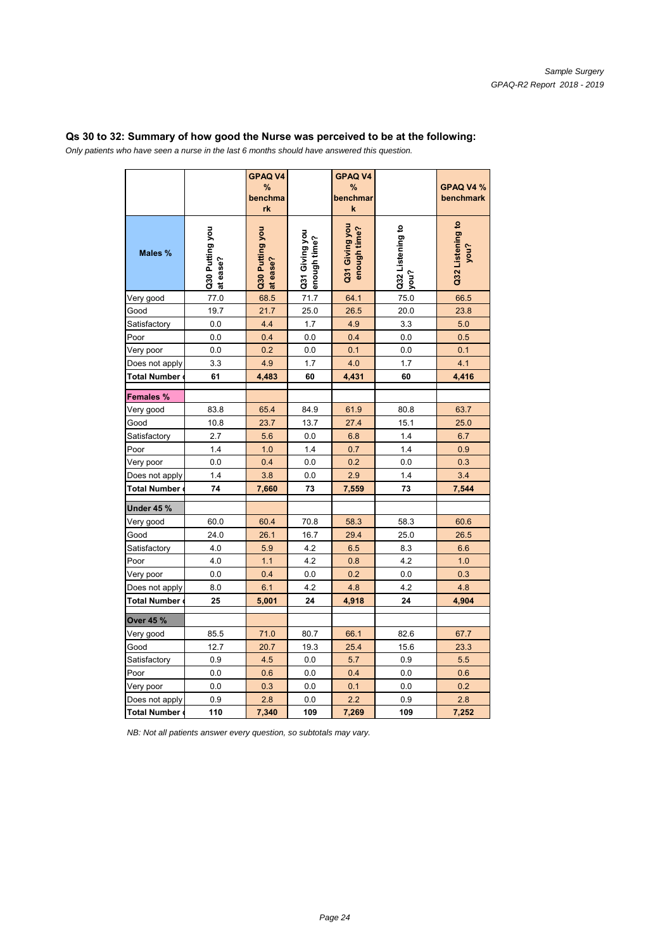## **Qs 30 to 32: Summary of how good the Nurse was perceived to be at the following:**

*Only patients who have seen a nurse in the last 6 months should have answered this question.*

|                     |                             | <b>GPAQ V4</b><br>%<br>benchma<br>rk |                                | <b>GPAQ V4</b><br>%<br>benchmar<br>$\pmb{\mathsf{k}}$ |                          | GPAQ V4 %<br>benchmark   |
|---------------------|-----------------------------|--------------------------------------|--------------------------------|-------------------------------------------------------|--------------------------|--------------------------|
| Males %             | Q30 Putting you<br>at ease? | Q30 Putting you<br>at ease?          | Q31 Giving you<br>?enough time | Q31 Giving you<br>enough time?                        | Q32 Listening to<br>you? | Q32 Listening to<br>you? |
| Very good           | 77.0                        | 68.5                                 | 71.7                           | 64.1                                                  | 75.0                     | 66.5                     |
| Good                | 19.7                        | 21.7                                 | 25.0                           | 26.5                                                  | 20.0                     | 23.8                     |
| Satisfactory        | 0.0                         | 4.4                                  | 1.7                            | 4.9                                                   | 3.3                      | 5.0                      |
| Poor                | 0.0                         | 0.4                                  | 0.0                            | 0.4                                                   | 0.0                      | 0.5                      |
| Very poor           | 0.0                         | 0.2                                  | 0.0                            | 0.1                                                   | 0.0                      | 0.1                      |
| Does not apply      | 3.3                         | 4.9                                  | 1.7                            | 4.0                                                   | 1.7                      | 4.1                      |
| <b>Total Number</b> | 61                          | 4,483                                | 60                             | 4,431                                                 | 60                       | 4,416                    |
| Females %           |                             |                                      |                                |                                                       |                          |                          |
| Very good           | 83.8                        | 65.4                                 | 84.9                           | 61.9                                                  | 80.8                     | 63.7                     |
| Good                | 10.8                        | 23.7                                 | 13.7                           | 27.4                                                  | 15.1                     | 25.0                     |
| Satisfactory        | 2.7                         | 5.6                                  | 0.0                            | 6.8                                                   | 1.4                      | 6.7                      |
| Poor                | 1.4                         | 1.0                                  | 1.4                            | 0.7                                                   | 1.4                      | 0.9                      |
| Very poor           | 0.0                         | 0.4                                  | 0.0                            | 0.2                                                   | 0.0                      | 0.3                      |
| Does not apply      | 1.4                         | 3.8                                  | 0.0                            | 2.9                                                   | 1.4                      | 3.4                      |
| <b>Total Number</b> | 74                          | 7,660                                | 73                             | 7,559                                                 | 73                       | 7,544                    |
| <b>Under 45 %</b>   |                             |                                      |                                |                                                       |                          |                          |
| Very good           | 60.0                        | 60.4                                 | 70.8                           | 58.3                                                  | 58.3                     | 60.6                     |
| Good                | 24.0                        | 26.1                                 | 16.7                           | 29.4                                                  | 25.0                     | 26.5                     |
| Satisfactory        | 4.0                         | 5.9                                  | 4.2                            | 6.5                                                   | 8.3                      | 6.6                      |
| Poor                | 4.0                         | 1.1                                  | 4.2                            | 0.8                                                   | 4.2                      | 1.0                      |
| Very poor           | 0.0                         | 0.4                                  | 0.0                            | 0.2                                                   | 0.0                      | 0.3                      |
| Does not apply      | 8.0                         | 6.1                                  | 4.2                            | 4.8                                                   | 4.2                      | 4.8                      |
| <b>Total Number</b> | 25                          | 5,001                                | 24                             | 4,918                                                 | 24                       | 4,904                    |
| Over 45 %           |                             |                                      |                                |                                                       |                          |                          |
| Very good           | 85.5                        | 71.0                                 | 80.7                           | 66.1                                                  | 82.6                     | 67.7                     |
| Good                | 12.7                        | 20.7                                 | 19.3                           | 25.4                                                  | 15.6                     | 23.3                     |
| Satisfactory        | 0.9                         | 4.5                                  | 0.0                            | 5.7                                                   | 0.9                      | 5.5                      |
| Poor                | 0.0                         | 0.6                                  | 0.0                            | 0.4                                                   | 0.0                      | 0.6                      |
| Very poor           | 0.0                         | 0.3                                  | 0.0                            | 0.1                                                   | 0.0                      | 0.2                      |
| Does not apply      | 0.9                         | 2.8                                  | 0.0                            | 2.2                                                   | 0.9                      | 2.8                      |
| <b>Total Number</b> | 110                         | 7,340                                | 109                            | 7,269                                                 | 109                      | 7,252                    |

*NB: Not all patients answer every question, so subtotals may vary.*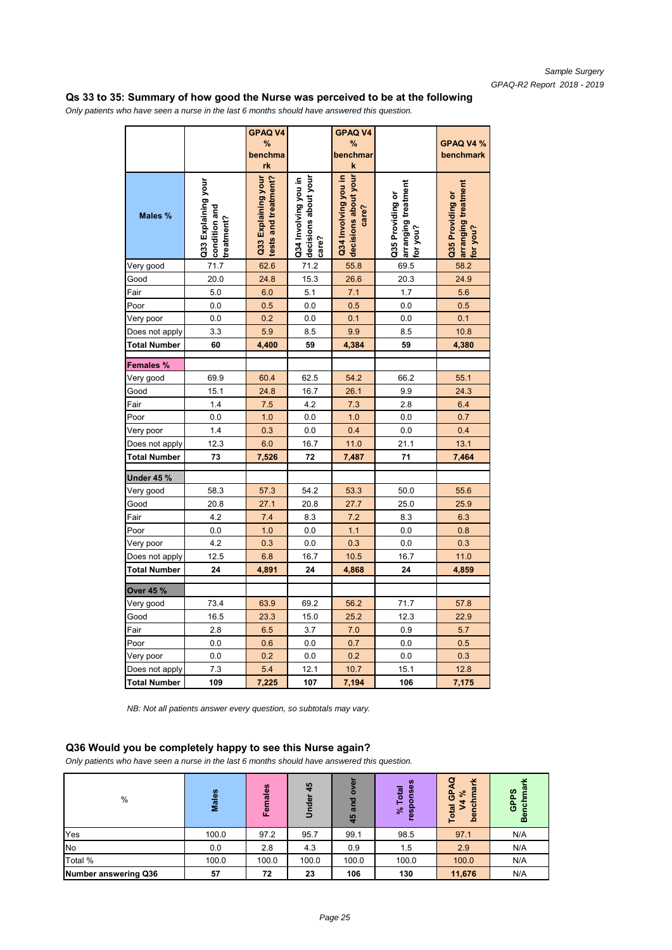#### **Qs 33 to 35: Summary of how good the Nurse was perceived to be at the following**

*Only patients who have seen a nurse in the last 6 months should have answered this question.*

|                     |                                                    | <b>GPAQ V4</b><br>%<br>benchma<br>rk        |                                                       | <b>GPAQ V4</b><br>%<br>benchmar<br>k                  |                                                     | GPAQ V4 %<br>benchmark                              |
|---------------------|----------------------------------------------------|---------------------------------------------|-------------------------------------------------------|-------------------------------------------------------|-----------------------------------------------------|-----------------------------------------------------|
| Males %             | Q33 Explaining your<br>condition and<br>treatment? | tests and treatment?<br>Q33 Explaining your | decisions about your<br>Q34 Involving you in<br>care? | decisions about your<br>Q34 Involving you in<br>care? | arranging treatment<br>Q35 Providing or<br>for you? | arranging treatment<br>Q35 Providing or<br>for you? |
| Very good           | 71.7                                               | 62.6                                        | 71.2                                                  | 55.8                                                  | 69.5                                                | 58.2                                                |
| Good                | 20.0                                               | 24.8                                        | 15.3                                                  | 26.6                                                  | 20.3                                                | 24.9                                                |
| Fair                | 5.0                                                | 6.0                                         | 5.1                                                   | 7.1                                                   | 1.7                                                 | 5.6                                                 |
| Poor                | 0.0                                                | 0.5                                         | 0.0                                                   | 0.5                                                   | 0.0                                                 | 0.5                                                 |
| Very poor           | 0.0                                                | 0.2                                         | 0.0                                                   | 0.1                                                   | 0.0                                                 | 0.1                                                 |
| Does not apply      | 3.3                                                | 5.9                                         | 8.5                                                   | 9.9                                                   | 8.5                                                 | 10.8                                                |
| Total Number        | 60                                                 | 4,400                                       | 59                                                    | 4,384                                                 | 59                                                  | 4,380                                               |
| Females %           |                                                    |                                             |                                                       |                                                       |                                                     |                                                     |
| Very good           | 69.9                                               | 60.4                                        | 62.5                                                  | 54.2                                                  | 66.2                                                | 55.1                                                |
| Good                | 15.1                                               | 24.8                                        | 16.7                                                  | 26.1                                                  | 9.9                                                 | 24.3                                                |
| Fair                | 1.4                                                | 7.5                                         | 4.2                                                   | 7.3                                                   | 2.8                                                 | 6.4                                                 |
| Poor                | 0.0                                                | 1.0                                         | 0.0                                                   | 1.0                                                   | 0.0                                                 | 0.7                                                 |
| Very poor           | 1.4                                                | 0.3                                         | 0.0                                                   | 0.4                                                   | 0.0                                                 | 0.4                                                 |
| Does not apply      | 12.3                                               | 6.0                                         | 16.7                                                  | 11.0                                                  | 21.1                                                | 13.1                                                |
| <b>Total Number</b> | 73                                                 | 7,526                                       | 72                                                    | 7,487                                                 | 71                                                  | 7,464                                               |
| Under 45 %          |                                                    |                                             |                                                       |                                                       |                                                     |                                                     |
| Very good           | 58.3                                               | 57.3                                        | 54.2                                                  | 53.3                                                  | 50.0                                                | 55.6                                                |
| Good                | 20.8                                               | 27.1                                        | 20.8                                                  | 27.7                                                  | 25.0                                                | 25.9                                                |
| Fair                | 4.2                                                | 7.4                                         | 8.3                                                   | 7.2                                                   | 8.3                                                 | 6.3                                                 |
| Poor                | 0.0                                                | 1.0                                         | 0.0                                                   | 1.1                                                   | 0.0                                                 | 0.8                                                 |
| Very poor           | 4.2                                                | 0.3                                         | 0.0                                                   | 0.3                                                   | 0.0                                                 | 0.3                                                 |
| Does not apply      | 12.5                                               | 6.8                                         | 16.7                                                  | 10.5                                                  | 16.7                                                | 11.0                                                |
| Total Number        | 24                                                 | 4,891                                       | 24                                                    | 4,868                                                 | 24                                                  | 4,859                                               |
| <b>Over 45 %</b>    |                                                    |                                             |                                                       |                                                       |                                                     |                                                     |
| Very good           | 73.4                                               | 63.9                                        | 69.2                                                  | 56.2                                                  | 71.7                                                | 57.8                                                |
| Good                | 16.5                                               | 23.3                                        | 15.0                                                  | 25.2                                                  | 12.3                                                | 22.9                                                |
| Fair                | 2.8                                                | 6.5                                         | 3.7                                                   | 7.0                                                   | 0.9                                                 | 5.7                                                 |
| Poor                | 0.0                                                | 0.6                                         | 0.0                                                   | 0.7                                                   | 0.0                                                 | 0.5                                                 |
| Very poor           | 0.0                                                | 0.2                                         | 0.0                                                   | 0.2                                                   | 0.0                                                 | 0.3                                                 |
| Does not apply      | 7.3                                                | 5.4                                         | 12.1                                                  | 10.7                                                  | 15.1                                                | 12.8                                                |
| <b>Total Number</b> | 109                                                | 7,225                                       | 107                                                   | 7,194                                                 | 106                                                 | 7,175                                               |

*NB: Not all patients answer every question, so subtotals may vary.*

#### **Q36 Would you be completely happy to see this Nurse again?**

*Only patients who have seen a nurse in the last 6 months should have answered this question.*

| %                           | <b>Males</b> | Females | 45<br>Under | ۰.<br>$\bar{a}$<br>$\circ$<br>and<br>45 | <b>SC</b><br>Φ<br>otal<br>U)<br>ō<br>٥<br>వి<br>$\overline{v}$<br>ø | ø<br>¥<br>$\sigma$<br>န္ပ<br>్<br>$\mathbf{c}$<br><b>Total</b><br><u>ed</u> | GPPS<br>흥<br>Ŏ |
|-----------------------------|--------------|---------|-------------|-----------------------------------------|---------------------------------------------------------------------|-----------------------------------------------------------------------------|----------------|
| Yes                         | 100.0        | 97.2    | 95.7        | 99.1                                    | 98.5                                                                | 97.1                                                                        | N/A            |
| No                          | 0.0          | 2.8     | 4.3         | 0.9                                     | 1.5                                                                 | 2.9                                                                         | N/A            |
| Total %                     | 100.0        | 100.0   | 100.0       | 100.0                                   | 100.0                                                               | 100.0                                                                       | N/A            |
| <b>Number answering Q36</b> | 57           | 72      | 23          | 106                                     | 130                                                                 | 11,676                                                                      | N/A            |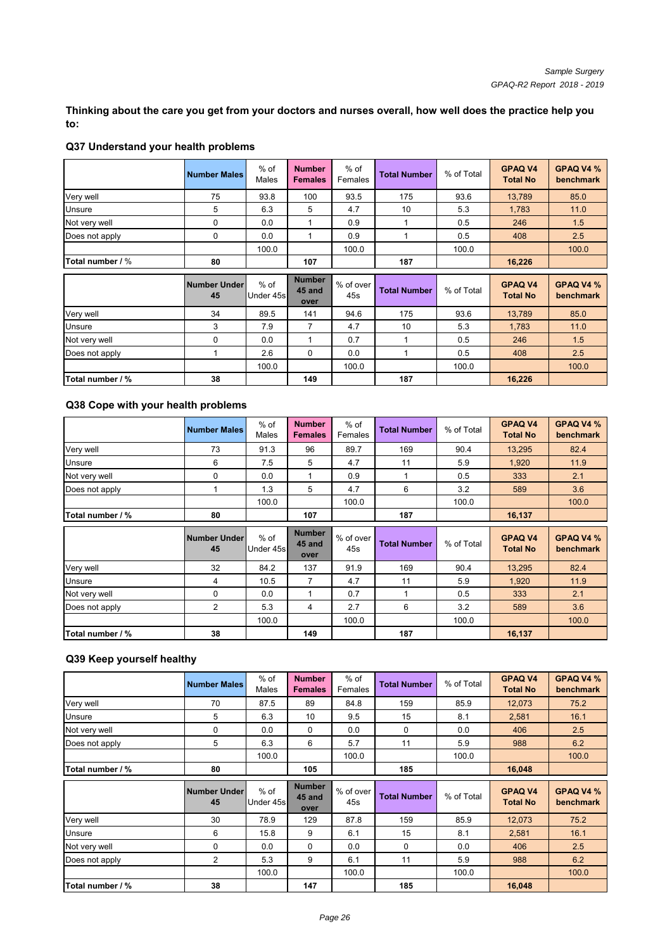**Thinking about the care you get from your doctors and nurses overall, how well does the practice help you to:**

|                  | <b>Number Males</b>       | $%$ of<br>Males     | <b>Number</b><br><b>Females</b> | $%$ of<br>Females | <b>Total Number</b> | % of Total | <b>GPAQ V4</b><br><b>Total No</b> | GPAQ V4 %<br>benchmark |
|------------------|---------------------------|---------------------|---------------------------------|-------------------|---------------------|------------|-----------------------------------|------------------------|
| Very well        | 75                        | 93.8                | 100                             | 93.5              | 175                 | 93.6       | 13,789                            | 85.0                   |
| Unsure           | 5                         | 6.3                 | 5                               | 4.7               | 10                  | 5.3        | 1.783                             | 11.0                   |
| Not very well    | $\Omega$                  | 0.0                 |                                 | 0.9               |                     | 0.5        | 246                               | 1.5                    |
| Does not apply   | 0                         | 0.0                 |                                 | 0.9               |                     | 0.5        | 408                               | 2.5                    |
|                  |                           | 100.0               |                                 | 100.0             |                     | 100.0      |                                   | 100.0                  |
| Total number / % | 80                        |                     | 107                             |                   | 187                 |            | 16,226                            |                        |
|                  |                           |                     |                                 |                   |                     |            |                                   |                        |
|                  | <b>Number Under</b><br>45 | $%$ of<br>Under 45s | <b>Number</b><br>45 and<br>over | % of over<br>45s  | <b>Total Number</b> | % of Total | <b>GPAQ V4</b><br><b>Total No</b> | GPAQ V4 %<br>benchmark |
| Very well        | 34                        | 89.5                | 141                             | 94.6              | 175                 | 93.6       | 13,789                            | 85.0                   |
| Unsure           | 3                         | 7.9                 | 7                               | 4.7               | 10                  | 5.3        | 1,783                             | 11.0                   |
| Not very well    | $\mathbf{0}$              | 0.0                 |                                 | 0.7               | 1                   | 0.5        | 246                               | 1.5                    |
| Does not apply   |                           | 2.6                 | $\mathbf{0}$                    | 0.0               | 1                   | 0.5        | 408                               | 2.5                    |
|                  |                           | 100.0               |                                 | 100.0             |                     | 100.0      |                                   | 100.0                  |

# **Q37 Understand your health problems**

## **Q38 Cope with your health problems**

|                  | <b>Number Males</b> | $%$ of<br>Males     | <b>Number</b><br><b>Females</b> | $%$ of<br>Females | <b>Total Number</b> | % of Total | <b>GPAQ V4</b><br><b>Total No</b> | GPAQ V4 %<br><b>benchmark</b> |
|------------------|---------------------|---------------------|---------------------------------|-------------------|---------------------|------------|-----------------------------------|-------------------------------|
| Very well        | 73                  | 91.3                | 96                              | 89.7              | 169                 | 90.4       | 13,295                            | 82.4                          |
| Unsure           | 6                   | 7.5                 | 5                               | 4.7               | 11                  | 5.9        | 1,920                             | 11.9                          |
| Not very well    | 0                   | 0.0                 |                                 | 0.9               |                     | 0.5        | 333                               | 2.1                           |
| Does not apply   |                     | 1.3                 | 5                               | 4.7               | 6                   | 3.2        | 589                               | 3.6                           |
|                  |                     | 100.0               |                                 | 100.0             |                     | 100.0      |                                   | 100.0                         |
| Total number / % | 80                  |                     | 107                             |                   | 187                 |            | 16,137                            |                               |
|                  |                     |                     |                                 |                   |                     |            |                                   |                               |
|                  | Number Under<br>45  | $%$ of<br>Under 45s | <b>Number</b><br>45 and<br>over | % of over<br>45s  | <b>Total Number</b> | % of Total | <b>GPAQ V4</b><br><b>Total No</b> | GPAQ V4 %<br><b>benchmark</b> |
| Very well        | 32                  | 84.2                | 137                             | 91.9              | 169                 | 90.4       | 13,295                            | 82.4                          |
| Unsure           | 4                   | 10.5                | 7                               | 4.7               | 11                  | 5.9        | 1,920                             | 11.9                          |
| Not very well    | $\Omega$            | 0.0                 |                                 | 0.7               |                     | 0.5        | 333                               | 2.1                           |
| Does not apply   | $\overline{2}$      | 5.3                 | 4                               | 2.7               | 6                   | 3.2        | 589                               | 3.6                           |
|                  |                     | 100.0               |                                 | 100.0             |                     | 100.0      |                                   | 100.0                         |

#### **Q39 Keep yourself healthy**

|                  | <b>Number Males</b> | $%$ of<br>Males     | <b>Number</b><br><b>Females</b> | $%$ of<br>Females | <b>Total Number</b> | % of Total | <b>GPAQ V4</b><br><b>Total No</b> | <b>GPAQ V4 %</b><br>benchmark |
|------------------|---------------------|---------------------|---------------------------------|-------------------|---------------------|------------|-----------------------------------|-------------------------------|
| Very well        | 70                  | 87.5                | 89                              | 84.8              | 159                 | 85.9       | 12,073                            | 75.2                          |
| Unsure           | 5                   | 6.3                 | 10                              | 9.5               | 15                  | 8.1        | 2,581                             | 16.1                          |
| Not very well    | 0                   | 0.0                 | 0                               | 0.0               | 0                   | 0.0        | 406                               | 2.5                           |
| Does not apply   | 5                   | 6.3                 | 6                               | 5.7               | 11                  | 5.9        | 988                               | 6.2                           |
|                  |                     | 100.0               |                                 | 100.0             |                     | 100.0      |                                   | 100.0                         |
| Total number / % | 80                  |                     | 105                             |                   | 185                 |            | 16,048                            |                               |
|                  |                     |                     |                                 |                   |                     |            |                                   |                               |
|                  | Number Under<br>45  | $%$ of<br>Under 45s | <b>Number</b><br>45 and<br>over | % of over<br>45s  | <b>Total Number</b> | % of Total | <b>GPAQ V4</b><br><b>Total No</b> | <b>GPAQ V4 %</b><br>benchmark |
| Very well        | 30                  | 78.9                | 129                             | 87.8              | 159                 | 85.9       | 12,073                            | 75.2                          |
| Unsure           | 6                   | 15.8                | 9                               | 6.1               | 15                  | 8.1        | 2,581                             | 16.1                          |
| Not very well    | 0                   | 0.0                 | 0                               | 0.0               | 0                   | 0.0        | 406                               | 2.5                           |
| Does not apply   | $\overline{2}$      | 5.3                 | 9                               | 6.1               | 11                  | 5.9        | 988                               | 6.2                           |
|                  |                     | 100.0               |                                 | 100.0             |                     | 100.0      |                                   | 100.0                         |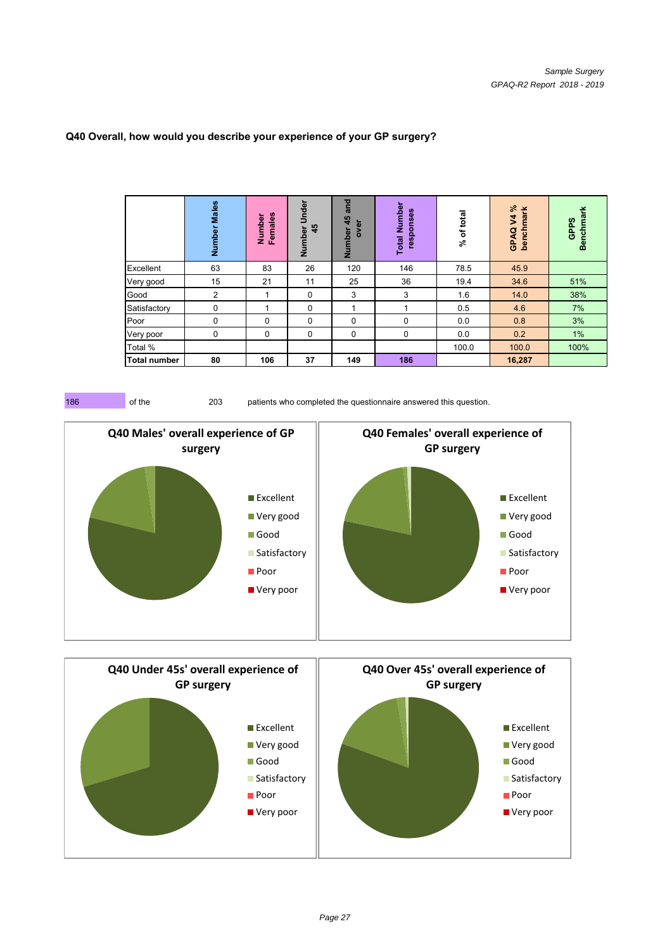|                     | Males<br>Number | Females<br>Number | Number Under<br>45 | and<br>45<br>ā<br>Number<br>š | Number<br>responses<br><b>Total</b> | of total<br>$\overline{\mathcal{S}}$ | V4%<br>benchmark<br>GPAQ | <b>Benchmark</b><br>GPPS |
|---------------------|-----------------|-------------------|--------------------|-------------------------------|-------------------------------------|--------------------------------------|--------------------------|--------------------------|
| Excellent           | 63              | 83                | 26                 | 120                           | 146                                 | 78.5                                 | 45.9                     |                          |
| Very good           | 15              | 21                | 11                 | 25                            | 36                                  | 19.4                                 | 34.6                     | 51%                      |
| Good                | 2               |                   | 0                  | 3                             | 3                                   | 1.6                                  | 14.0                     | 38%                      |
| Satisfactory        | 0               |                   | $\Omega$           | 4                             | 4                                   | 0.5                                  | 4.6                      | 7%                       |
| Poor                | 0               | $\Omega$          | $\Omega$           | 0                             | $\Omega$                            | 0.0                                  | 0.8                      | 3%                       |
| Very poor           | 0               | $\Omega$          | $\Omega$           | 0                             | 0                                   | 0.0                                  | 0.2                      | 1%                       |
| Total %             |                 |                   |                    |                               |                                     | 100.0                                | 100.0                    | 100%                     |
| <b>Total number</b> | 80              | 106               | 37                 | 149                           | 186                                 |                                      | 16,287                   |                          |

#### **Q40 Overall, how would you describe your experience of your GP surgery?**



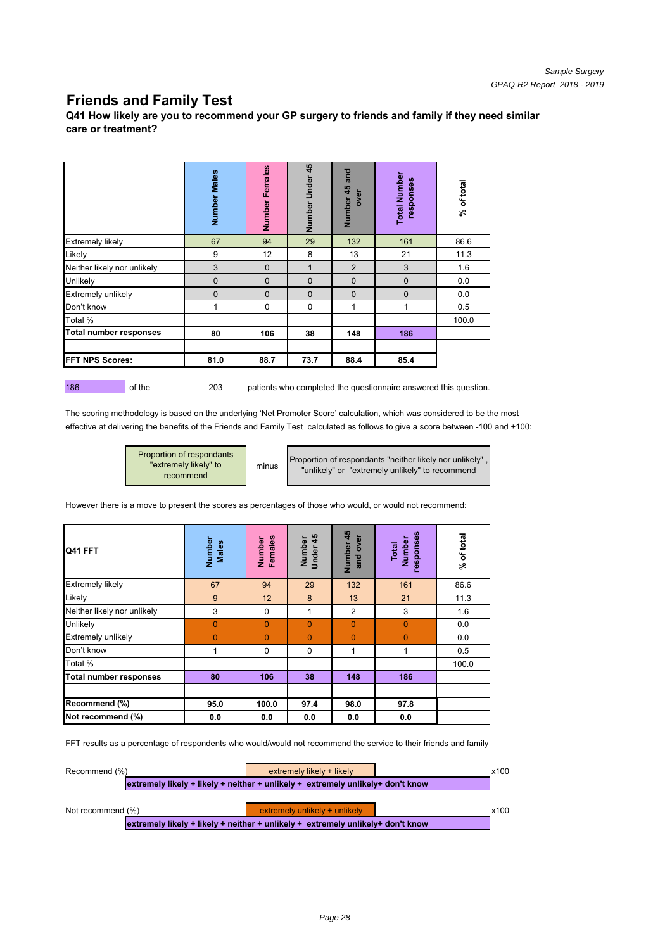# **Friends and Family Test**

**Q41 How likely are you to recommend your GP surgery to friends and family if they need similar care or treatment?**

|                               | Number Males | Females<br>Number | 45<br>Number Under | and<br>Number 45<br>over | <b>Total Number</b><br>responses | % of total |
|-------------------------------|--------------|-------------------|--------------------|--------------------------|----------------------------------|------------|
| <b>Extremely likely</b>       | 67           | 94                | 29                 | 132                      | 161                              | 86.6       |
| Likely                        | 9            | 12                | 8                  | 13                       | 21                               | 11.3       |
| Neither likely nor unlikely   | 3            | $\mathbf 0$       | $\mathbf 1$        | $\overline{2}$           | 3                                | 1.6        |
| Unlikely                      | $\mathbf 0$  | $\overline{0}$    | $\mathbf{0}$       | $\mathbf{0}$             | $\mathbf 0$                      | 0.0        |
| <b>Extremely unlikely</b>     | $\mathbf 0$  | $\mathbf{0}$      | $\mathbf{0}$       | $\mathbf{0}$             | $\mathbf{0}$                     | 0.0        |
| Don't know                    | 1            | 0                 | 0                  | 1                        | 1                                | 0.5        |
| Total %                       |              |                   |                    |                          |                                  | 100.0      |
| <b>Total number responses</b> | 80           | 106               | 38                 | 148                      | 186                              |            |
| <b>FFT NPS Scores:</b>        | 81.0         | 88.7              | 73.7               | 88.4                     | 85.4                             |            |

186 of the 203 patients who completed the questionnaire answered this question.

The scoring methodology is based on the underlying 'Net Promoter Score' calculation, which was considered to be the most effective at delivering the benefits of the Friends and Family Test calculated as follows to give a score between -100 and +100:<br>Proportion of respondants<br>"extremely likely" to<br>"unlikely" or "oxtromely unlikely" to proport

Proportion of respondants "extremely likely" to recommend

Proportion of respondants "neither likely nor unlikely" "unlikely" or "extremely unlikely" to recommend

However there is a move to present the scores as percentages of those who would, or would not recommend:

| Q41 FFT                       | Number<br>Males | Females<br>Number | Under 45<br>Number | 45<br>over<br>Number<br>and | sesuodse.<br>Number<br>Total | % of total |
|-------------------------------|-----------------|-------------------|--------------------|-----------------------------|------------------------------|------------|
| <b>Extremely likely</b>       | 67              | 94                | 29                 | 132                         | 161                          | 86.6       |
| Likely                        | 9               | 12                | 8                  | 13                          | 21                           | 11.3       |
| Neither likely nor unlikely   | 3               | 0                 | 1                  | $\overline{2}$              | 3                            | 1.6        |
| Unlikely                      | $\mathbf 0$     | $\Omega$          | $\Omega$           | $\Omega$                    | $\Omega$                     | 0.0        |
| Extremely unlikely            | 0               | $\Omega$          | $\overline{0}$     | $\Omega$                    | $\overline{0}$               | 0.0        |
| Don't know                    | 1               | 0                 | 0                  | 1                           | 1                            | 0.5        |
| Total %                       |                 |                   |                    |                             |                              | 100.0      |
| <b>Total number responses</b> | 80              | 106               | 38                 | 148                         | 186                          |            |
|                               |                 |                   |                    |                             |                              |            |
| Recommend (%)                 | 95.0            | 100.0             | 97.4               | 98.0                        | 97.8                         |            |
| Not recommend (%)             | 0.0             | 0.0               | 0.0                | 0.0                         | 0.0                          |            |

FFT results as a percentage of respondents who would/would not recommend the service to their friends and family

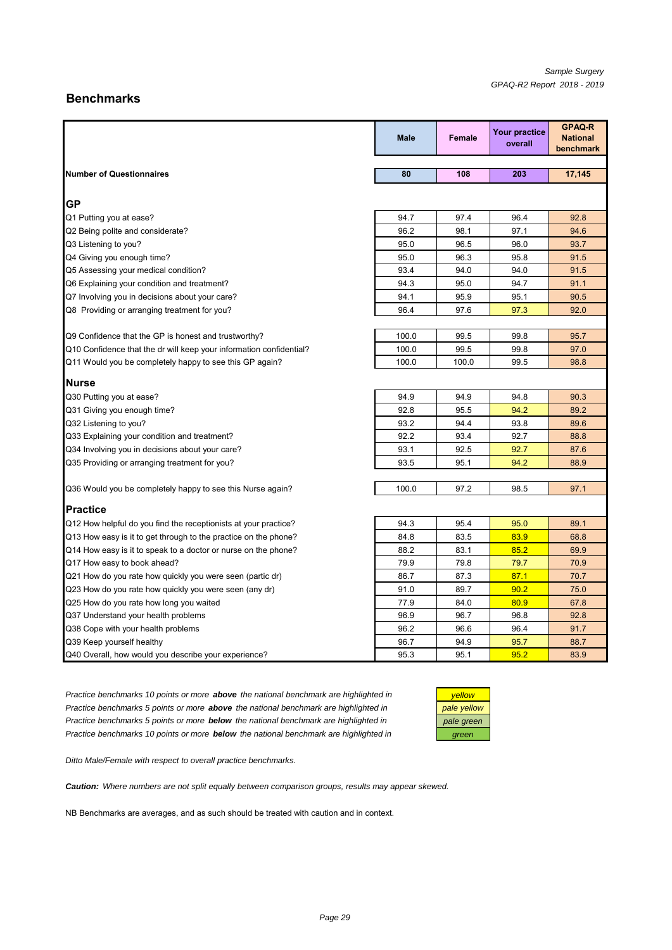## **Benchmarks**

|                                                                     | <b>Male</b>  | <b>Female</b> | <b>Your practice</b><br>overall | <b>GPAQ-R</b><br><b>National</b><br>benchmark |
|---------------------------------------------------------------------|--------------|---------------|---------------------------------|-----------------------------------------------|
|                                                                     |              |               |                                 |                                               |
| <b>Number of Questionnaires</b>                                     | 80           | 108           | 203                             | 17,145                                        |
| IGP                                                                 |              |               |                                 |                                               |
| Q1 Putting you at ease?                                             | 94.7         | 97.4          | 96.4                            | 92.8                                          |
| Q2 Being polite and considerate?                                    | 96.2         | 98.1          | 97.1                            | 94.6                                          |
| Q3 Listening to you?                                                | 95.0         | 96.5          | 96.0                            | 93.7                                          |
| Q4 Giving you enough time?                                          | 95.0         | 96.3          | 95.8                            | 91.5                                          |
| Q5 Assessing your medical condition?                                | 93.4         | 94.0          | 94.0                            | 91.5                                          |
| Q6 Explaining your condition and treatment?                         | 94.3         | 95.0          | 94.7                            | 91.1                                          |
| Q7 Involving you in decisions about your care?                      | 94.1         | 95.9          | 95.1                            | 90.5                                          |
| Q8 Providing or arranging treatment for you?                        | 96.4         | 97.6          | 97.3                            | 92.0                                          |
|                                                                     |              |               |                                 |                                               |
| Q9 Confidence that the GP is honest and trustworthy?                | 100.0        | 99.5          | 99.8                            | 95.7                                          |
| Q10 Confidence that the dr will keep your information confidential? | 100.0        | 99.5          | 99.8                            | 97.0                                          |
| Q11 Would you be completely happy to see this GP again?             | 100.0        | 100.0         | 99.5                            | 98.8                                          |
|                                                                     |              |               |                                 |                                               |
| <b>Nurse</b>                                                        |              |               |                                 |                                               |
| Q30 Putting you at ease?                                            | 94.9         | 94.9          | 94.8                            | 90.3                                          |
| Q31 Giving you enough time?                                         | 92.8         | 95.5          | 94.2                            | 89.2                                          |
| Q32 Listening to you?                                               | 93.2<br>92.2 | 94.4          | 93.8                            | 89.6                                          |
| Q33 Explaining your condition and treatment?                        |              | 93.4          | 92.7                            | 88.8                                          |
| Q34 Involving you in decisions about your care?                     | 93.1         | 92.5          | 92.7                            | 87.6                                          |
| Q35 Providing or arranging treatment for you?                       | 93.5         | 95.1          | 94.2                            | 88.9                                          |
| Q36 Would you be completely happy to see this Nurse again?          | 100.0        | 97.2          | 98.5                            | 97.1                                          |
| <b>Practice</b>                                                     |              |               |                                 |                                               |
| Q12 How helpful do you find the receptionists at your practice?     | 94.3         | 95.4          | 95.0                            | 89.1                                          |
| Q13 How easy is it to get through to the practice on the phone?     | 84.8         | 83.5          | 83.9                            | 68.8                                          |
| Q14 How easy is it to speak to a doctor or nurse on the phone?      | 88.2         | 83.1          | 85.2                            | 69.9                                          |
| Q17 How easy to book ahead?                                         | 79.9         | 79.8          | 79.7                            | 70.9                                          |
| Q21 How do you rate how quickly you were seen (partic dr)           | 86.7         | 87.3          | 87.1                            | 70.7                                          |
| Q23 How do you rate how quickly you were seen (any dr)              | 91.0         | 89.7          | 90.2                            | 75.0                                          |
| Q25 How do you rate how long you waited                             | 77.9         | 84.0          | 80.9                            | 67.8                                          |
| Q37 Understand your health problems                                 | 96.9         | 96.7          | 96.8                            | 92.8                                          |
| Q38 Cope with your health problems                                  | 96.2         | 96.6          | 96.4                            | 91.7                                          |
| Q39 Keep yourself healthy                                           | 96.7         | 94.9          | 95.7                            | 88.7                                          |
| Q40 Overall, how would you describe your experience?                | 95.3         | 95.1          | 95.2                            | 83.9                                          |

*Practice benchmarks 10 points or more above the national benchmark are highlighted in yellow Practice benchmarks 5 points or more above the national benchmark are highlighted in Practice benchmarks 5 points or more below the national benchmark are highlighted in pale green Practice benchmarks 10 points or more below the national benchmark are highlighted in* 

| vellow      |
|-------------|
| pale yellow |
| pale green  |
| reen        |

*Ditto Male/Female with respect to overall practice benchmarks.*

*Caution: Where numbers are not split equally between comparison groups, results may appear skewed.*

NB Benchmarks are averages, and as such should be treated with caution and in context.